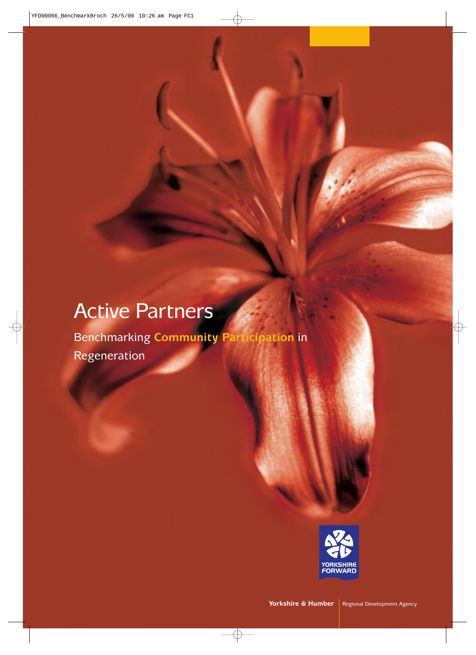## Active Partners

Benchmarking **Community Participation** in Regeneration

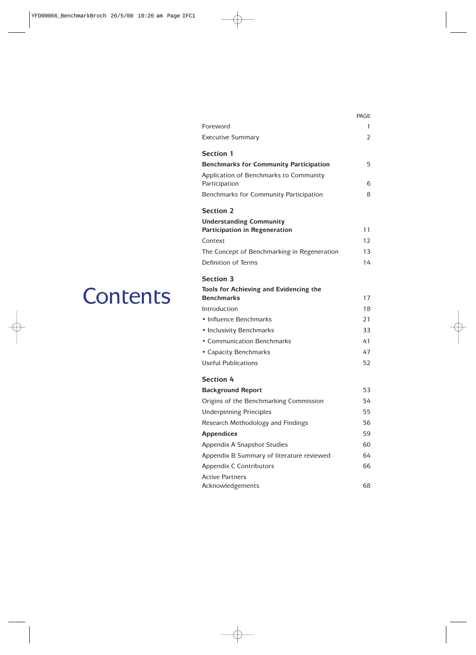|                                                         | PAGE |
|---------------------------------------------------------|------|
| Foreword                                                | 1    |
| <b>Executive Summary</b>                                | 2    |
| <b>Section 1</b>                                        |      |
| <b>Benchmarks for Community Participation</b>           | 5    |
| Application of Benchmarks to Community<br>Participation | 6    |
| Benchmarks for Community Participation                  | 8    |
| <b>Section 2</b>                                        |      |
| <b>Understanding Community</b>                          |      |
| <b>Participation in Regeneration</b>                    | 11   |
| Context                                                 | 12   |
| The Concept of Benchmarking in Regeneration             | 13   |
| Definition of Terms                                     | 14   |
| <b>Section 3</b>                                        |      |
| Tools for Achieving and Evidencing the                  |      |
| <b>Benchmarks</b>                                       | 17   |
| Introduction                                            | 18   |
| • Influence Benchmarks                                  | 21   |
| • Inclusivity Benchmarks                                | 33   |
| • Communication Benchmarks                              | 41   |
| • Capacity Benchmarks                                   | 47   |
| <b>Useful Publications</b>                              | 52   |
| <b>Section 4</b>                                        |      |
| <b>Background Report</b>                                | 53   |
| Origins of the Benchmarking Commission                  | 54   |
| <b>Underpinning Principles</b>                          | 55   |
| Research Methodology and Findings                       | 56   |
| <b>Appendices</b>                                       | 59   |
| Appendix A Snapshot Studies                             | 60   |
| Appendix B Summary of literature reviewed               | 64   |
| Appendix C Contributors                                 | 66   |
| <b>Active Partners</b><br>Acknowledgements              | 68   |

## **Contents**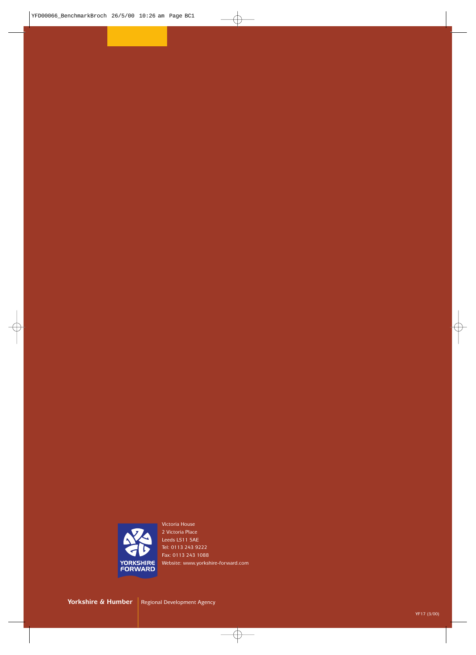

Victoria House 2 Victoria Place Leeds LS11 5AE Tel: 0113 243 9222 Fax: 0113 243 1088 Website: www.yorkshire-forward.com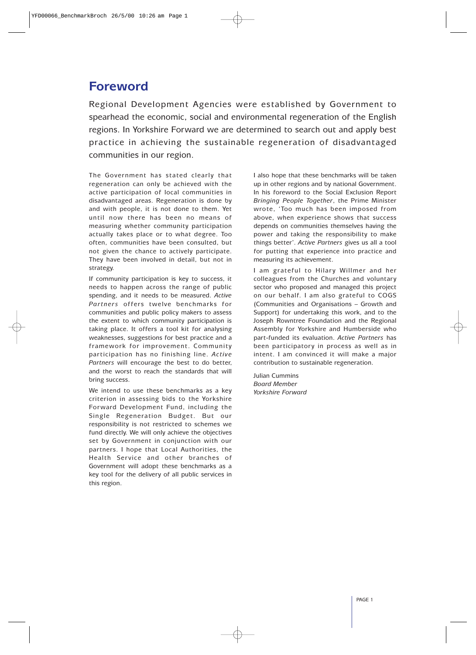## **Foreword**

Regional Development Agencies were established by Government to spearhead the economic, social and environmental regeneration of the English regions. In Yorkshire Forward we are determined to search out and apply best practice in achieving the sustainable regeneration of disadvantaged communities in our region.

The Government has stated clearly that regeneration can only be achieved with the active participation of local communities in disadvantaged areas. Regeneration is done by and with people, it is not done to them. Yet until now there has been no means of measuring whether community participation actually takes place or to what degree. Too often, communities have been consulted, but not given the chance to actively participate. They have been involved in detail, but not in strategy.

If community participation is key to success, it needs to happen across the range of public spending, and it needs to be measured. *Active Partners* offers twelve benchmarks for communities and public policy makers to assess the extent to which community participation is taking place. It offers a tool kit for analysing weaknesses, suggestions for best practice and a framework for improvement. Community participation has no finishing line. *Active Partners* will encourage the best to do better, and the worst to reach the standards that will bring success.

We intend to use these benchmarks as a key criterion in assessing bids to the Yorkshire Forward Development Fund, including the Single Regeneration Budget. But our responsibility is not restricted to schemes we fund directly. We will only achieve the objectives set by Government in conjunction with our partners. I hope that Local Authorities, the Health Service and other branches of Government will adopt these benchmarks as a key tool for the delivery of all public services in this region.

I also hope that these benchmarks will be taken up in other regions and by national Government. In his foreword to the Social Exclusion Report *Bringing People Together*, the Prime Minister wrote, 'Too much has been imposed from above, when experience shows that success depends on communities themselves having the power and taking the responsibility to make things better'. *Active Partners* gives us all a tool for putting that experience into practice and measuring its achievement.

I am grateful to Hilary Willmer and her colleagues from the Churches and voluntary sector who proposed and managed this project on our behalf. I am also grateful to COGS (Communities and Organisations – Growth and Support) for undertaking this work, and to the Joseph Rowntree Foundation and the Regional Assembly for Yorkshire and Humberside who part-funded its evaluation. *Active Partners* has been participatory in process as well as in intent. I am convinced it will make a major contribution to sustainable regeneration.

Julian Cummins *Board Member Yorkshire Forward*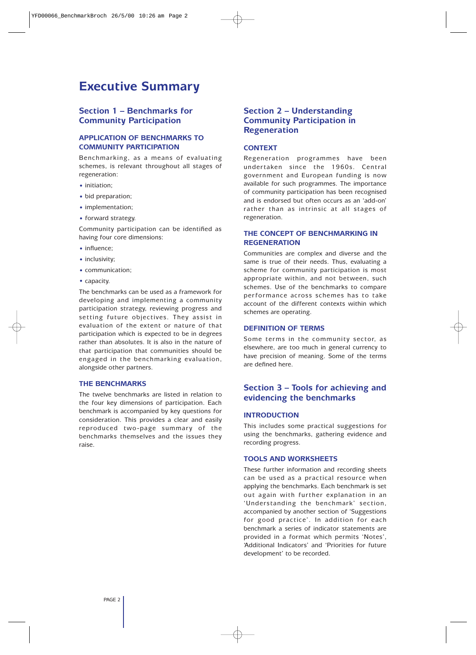## **Executive Summary**

#### **Section 1 – Benchmarks for Community Participation**

#### **APPLICATION OF BENCHMARKS TO COMMUNITY PARTICIPATION**

Benchmarking, as a means of evaluating schemes, is relevant throughout all stages of regeneration:

- initiation;
- bid preparation;
- implementation;
- forward strategy.

Community participation can be identified as having four core dimensions:

- influence:
- inclusivity;
- communication;
- capacity.

The benchmarks can be used as a framework for developing and implementing a community participation strategy, reviewing progress and setting future objectives. They assist in evaluation of the extent or nature of that participation which is expected to be in degrees rather than absolutes. It is also in the nature of that participation that communities should be engaged in the benchmarking evaluation, alongside other partners.

#### **THE BENCHMARKS**

The twelve benchmarks are listed in relation to the four key dimensions of participation. Each benchmark is accompanied by key questions for consideration. This provides a clear and easily reproduced two-page summary of the benchmarks themselves and the issues they raise.

#### **Section 2 – Understanding Community Participation in Regeneration**

#### **CONTEXT**

Regeneration programmes have been undertaken since the 1960s. Central government and European funding is now available for such programmes. The importance of community participation has been recognised and is endorsed but often occurs as an 'add-on' rather than as intrinsic at all stages of regeneration.

#### **THE CONCEPT OF BENCHMARKING IN REGENERATION**

Communities are complex and diverse and the same is true of their needs. Thus, evaluating a scheme for community participation is most appropriate within, and not between, such schemes. Use of the benchmarks to compare performance across schemes has to take account of the different contexts within which schemes are operating.

#### **DEFINITION OF TERMS**

Some terms in the community sector, as elsewhere, are too much in general currency to have precision of meaning. Some of the terms are defined here.

#### **Section 3 – Tools for achieving and evidencing the benchmarks**

#### **INTRODUCTION**

This includes some practical suggestions for using the benchmarks, gathering evidence and recording progress.

#### **TOOLS AND WORKSHEETS**

These further information and recording sheets can be used as a practical resource when applying the benchmarks. Each benchmark is set out again with further explanation in an 'Understanding the benchmark' section, accompanied by another section of 'Suggestions for good practice'. In addition for each benchmark a series of indicator statements are provided in a format which permits 'Notes', 'Additional Indicators' and 'Priorities for future development' to be recorded.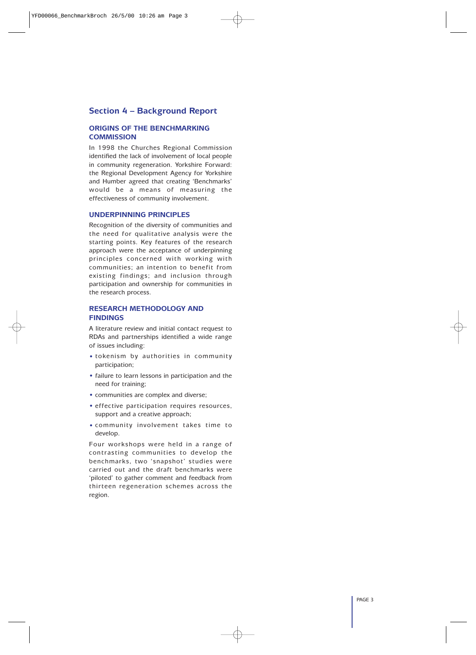#### **Section 4 – Background Report**

#### **ORIGINS OF THE BENCHMARKING COMMISSION**

In 1998 the Churches Regional Commission identified the lack of involvement of local people in community regeneration. Yorkshire Forward: the Regional Development Agency for Yorkshire and Humber agreed that creating 'Benchmarks' would be a means of measuring the effectiveness of community involvement.

#### **UNDERPINNING PRINCIPLES**

Recognition of the diversity of communities and the need for qualitative analysis were the starting points. Key features of the research approach were the acceptance of underpinning principles concerned with working with communities; an intention to benefit from existing findings; and inclusion through participation and ownership for communities in the research process.

#### **RESEARCH METHODOLOGY AND FINDINGS**

A literature review and initial contact request to RDAs and partnerships identified a wide range of issues including:

- tokenism by authorities in community participation;
- failure to learn lessons in participation and the need for training;
- communities are complex and diverse;
- effective participation requires resources, support and a creative approach;
- community involvement takes time to develop.

Four workshops were held in a range of contrasting communities to develop the benchmarks, two 'snapshot' studies were carried out and the draft benchmarks were 'piloted' to gather comment and feedback from thirteen regeneration schemes across the region.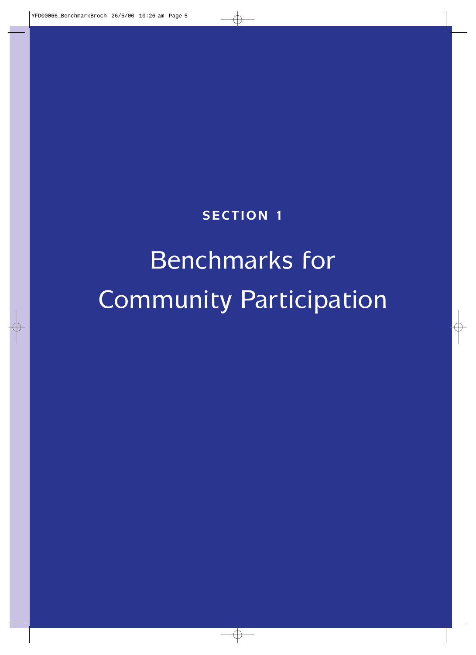## **SECTION 1**

## Benchmarks for Community Participation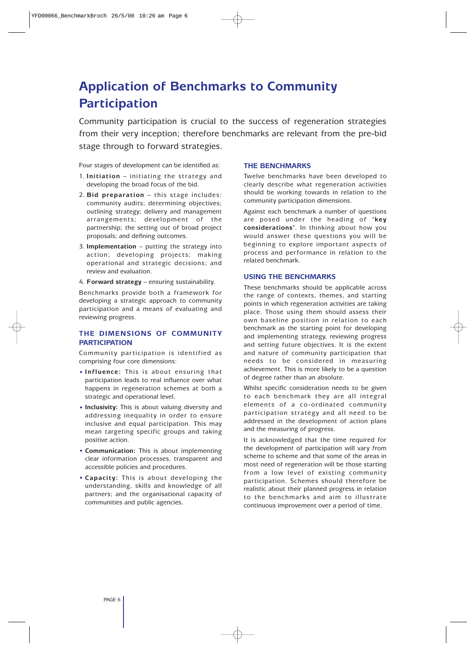## **Application of Benchmarks to Community Participation**

Community participation is crucial to the success of regeneration strategies from their very inception; therefore benchmarks are relevant from the pre-bid stage through to forward strategies.

Four stages of development can be identified as:

- 1. **Initiation** initiating the strategy and developing the broad focus of the bid.
- 2. **Bid preparation** this stage includes: community audits; determining objectives; outlining strategy; delivery and management arrangements; development of the partnership; the setting out of broad project proposals; and defining outcomes.
- 3. **Implementation** putting the strategy into action; developing projects; making operational and strategic decisions; and review and evaluation.
- 4. **Forward strategy** ensuring sustainability.

Benchmarks provide both a framework for developing a strategic approach to community participation and a means of evaluating and reviewing progress.

#### **THE DIMENSIONS OF COMMUNITY PARTICIPATION**

Community participation is identified as comprising four core dimensions:

- **Influence:** This is about ensuring that participation leads to real influence over what happens in regeneration schemes at both a strategic and operational level.
- **Inclusivity:** This is about valuing diversity and addressing inequality in order to ensure inclusive and equal participation. This may mean targeting specific groups and taking positive action.
- **Communication:** This is about implementing clear information processes, transparent and accessible policies and procedures.
- **Capacity:** This is about developing the understanding, skills and knowledge of all partners; and the organisational capacity of communities and public agencies.

#### **THE BENCHMARKS**

Twelve benchmarks have been developed to clearly describe what regeneration activities should be working towards in relation to the community participation dimensions.

Against each benchmark a number of questions are posed under the heading of **'key considerations'**. In thinking about how you would answer these questions you will be beginning to explore important aspects of process and performance in relation to the related benchmark.

#### **USING THE BENCHMARKS**

These benchmarks should be applicable across the range of contexts, themes, and starting points in which regeneration activities are taking place. Those using them should assess their own baseline position in relation to each benchmark as the starting point for developing and implementing strategy, reviewing progress and setting future objectives. It is the extent and nature of community participation that needs to be considered in measuring achievement. This is more likely to be a question of degree rather than an absolute.

Whilst specific consideration needs to be given to each benchmark they are all integral elements of a co-ordinated community participation strategy and all need to be addressed in the development of action plans and the measuring of progress.

It is acknowledged that the time required for the development of participation will vary from scheme to scheme and that some of the areas in most need of regeneration will be those starting from a low level of existing community participation. Schemes should therefore be realistic about their planned progress in relation to the benchmarks and aim to illustrate continuous improvement over a period of time.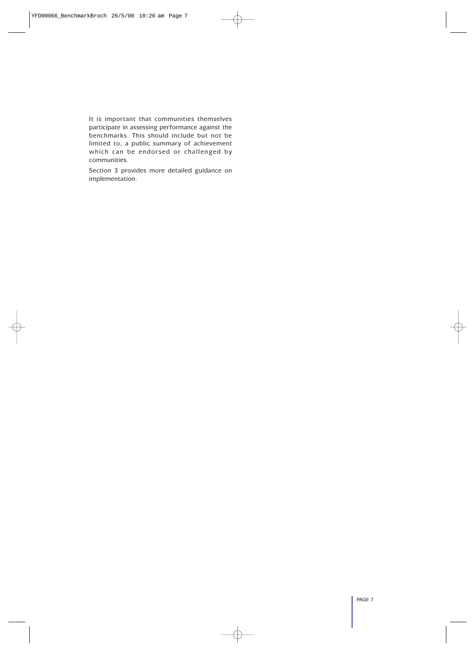It is important that communities themselves participate in assessing performance against the benchmarks. This should include but not be limited to, a public summary of achievement which can be endorsed or challenged by communities.

Section 3 provides more detailed guidance on implementation.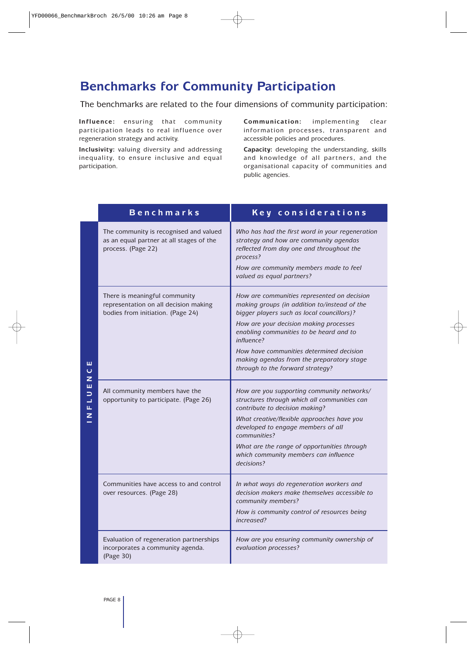## **Benchmarks for Community Participation**

The benchmarks are related to the four dimensions of community participation:

**Influence:** ensuring that community participation leads to real influence over regeneration strategy and activity.

**Inclusivity:** valuing diversity and addressing inequality, to ensure inclusive and equal participation.

**Communication:** implementing clear information processes, transparent and accessible policies and procedures.

**Capacity:** developing the understanding, skills and knowledge of all partners, and the organisational capacity of communities and public agencies.

|                             | <b>Benchmarks</b>                                                                                           | Key considerations                                                                                                                                                                                                                                                                                                                                                        |
|-----------------------------|-------------------------------------------------------------------------------------------------------------|---------------------------------------------------------------------------------------------------------------------------------------------------------------------------------------------------------------------------------------------------------------------------------------------------------------------------------------------------------------------------|
|                             | The community is recognised and valued<br>as an equal partner at all stages of the<br>process. (Page 22)    | Who has had the first word in your regeneration<br>strategy and how are community agendas<br>reflected from day one and throughout the<br>process?<br>How are community members made to feel<br>valued as equal partners?                                                                                                                                                 |
| ш<br>$\mathbf{\Omega}$<br>Z | There is meaningful community<br>representation on all decision making<br>bodies from initiation. (Page 24) | How are communities represented on decision<br>making groups (in addition to/instead of the<br>bigger players such as local councillors)?<br>How are your decision making processes<br>enabling communities to be heard and to<br>influence?<br>How have communities determined decision<br>making agendas from the preparatory stage<br>through to the forward strategy? |
| ш<br>⊃<br>⊐<br>щ<br>z       | All community members have the<br>opportunity to participate. (Page 26)                                     | How are you supporting community networks/<br>structures through which all communities can<br>contribute to decision making?<br>What creative/flexible approaches have you<br>developed to engage members of all<br>communities?<br>What are the range of opportunities through<br>which community members can influence<br>decisions?                                    |
|                             | Communities have access to and control<br>over resources. (Page 28)                                         | In what ways do regeneration workers and<br>decision makers make themselves accessible to<br>community members?<br>How is community control of resources being<br>increased?                                                                                                                                                                                              |
|                             | Evaluation of regeneration partnerships<br>incorporates a community agenda.<br>(Page 30)                    | How are you ensuring community ownership of<br>evaluation processes?                                                                                                                                                                                                                                                                                                      |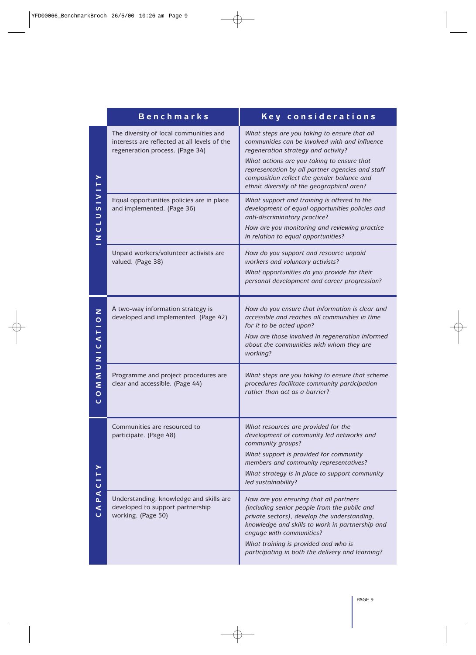|                                                   | <b>Benchmarks</b>                                                                                                         | Key considerations                                                                                                                                                                                                                                                                                                                  |
|---------------------------------------------------|---------------------------------------------------------------------------------------------------------------------------|-------------------------------------------------------------------------------------------------------------------------------------------------------------------------------------------------------------------------------------------------------------------------------------------------------------------------------------|
|                                                   | The diversity of local communities and<br>interests are reflected at all levels of the<br>regeneration process. (Page 34) | What steps are you taking to ensure that all<br>communities can be involved with and influence<br>regeneration strategy and activity?<br>What actions are you taking to ensure that<br>representation by all partner agencies and staff<br>composition reflect the gender balance and<br>ethnic diversity of the geographical area? |
| ><br>S<br>⊃<br>┙<br>$\mathbf{\mathsf{C}}$<br>Z    | Equal opportunities policies are in place<br>and implemented. (Page 36)                                                   | What support and training is offered to the<br>development of equal opportunities policies and<br>anti-discriminatory practice?<br>How are you monitoring and reviewing practice<br>in relation to equal opportunities?                                                                                                             |
|                                                   | Unpaid workers/volunteer activists are<br>valued. (Page 38)                                                               | How do you support and resource unpaid<br>workers and voluntary activists?<br>What opportunities do you provide for their<br>personal development and career progression?                                                                                                                                                           |
| Z<br>$\overline{O}$<br>⋖<br>$\mathbf Q$<br>-<br>z | A two-way information strategy is<br>developed and implemented. (Page 42)                                                 | How do you ensure that information is clear and<br>accessible and reaches all communities in time<br>for it to be acted upon?<br>How are those involved in regeneration informed<br>about the communities with whom they are<br>working?                                                                                            |
| $\Rightarrow$<br>Σ<br>Σ<br>$\circ$<br>Ō           | Programme and project procedures are<br>clear and accessible. (Page 44)                                                   | What steps are you taking to ensure that scheme<br>procedures facilitate community participation<br>rather than act as a barrier?                                                                                                                                                                                                   |
| $\cup$                                            | Communities are resourced to<br>participate. (Page 48)                                                                    | What resources are provided for the<br>development of community led networks and<br>community groups?<br>What support is provided for community<br>members and community representatives?<br>What strategy is in place to support community<br>led sustainability?                                                                  |
| ⋖<br>d.<br>$\triangleleft$<br>ပ                   | Understanding, knowledge and skills are<br>developed to support partnership<br>working. (Page 50)                         | How are you ensuring that all partners<br>(including senior people from the public and<br>private sectors), develop the understanding,<br>knowledge and skills to work in partnership and<br>engage with communities?<br>What training is provided and who is<br>participating in both the delivery and learning?                   |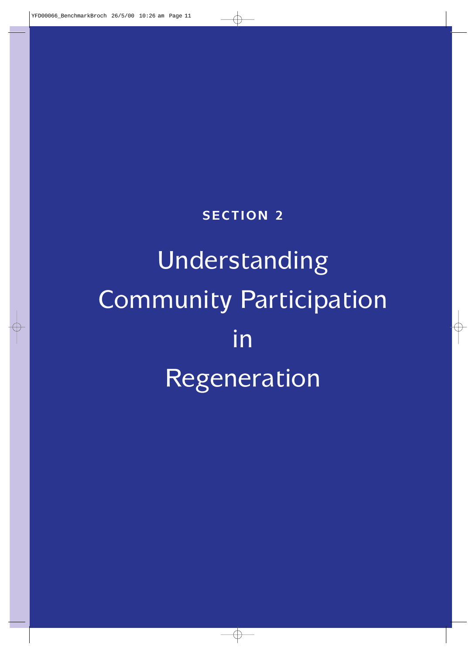## **SECTION 2**

# Understanding Community Participation in Regeneration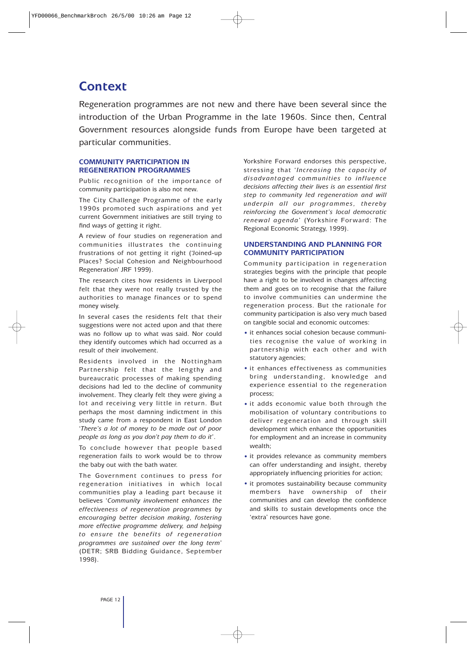## **Context**

Regeneration programmes are not new and there have been several since the introduction of the Urban Programme in the late 1960s. Since then, Central Government resources alongside funds from Europe have been targeted at particular communities.

#### **COMMUNITY PARTICIPATION IN REGENERATION PROGRAMMES**

Public recognition of the importance of community participation is also not new.

The City Challenge Programme of the early 1990s promoted such aspirations and yet current Government initiatives are still trying to find ways of getting it right.

A review of four studies on regeneration and communities illustrates the continuing frustrations of not getting it right ('Joined-up Places? Social Cohesion and Neighbourhood Regeneration' JRF 1999).

The research cites how residents in Liverpool felt that they were not really trusted by the authorities to manage finances or to spend money wisely.

In several cases the residents felt that their suggestions were not acted upon and that there was no follow up to what was said. Nor could they identify outcomes which had occurred as a result of their involvement.

Residents involved in the Nottingham Partnership felt that the lengthy and bureaucratic processes of making spending decisions had led to the decline of community involvement. They clearly felt they were giving a lot and receiving very little in return. But perhaps the most damning indictment in this study came from a respondent in East London '*There's a lot of money to be made out of poor people as long as you don't pay them to do it*'.

To conclude however that people based regeneration fails to work would be to throw the baby out with the bath water.

The Government continues to press for regeneration initiatives in which local communities play a leading part because it believes '*Community involvement enhances the effectiveness of regeneration programmes by encouraging better decision making, fostering more effective programme delivery, and helping to ensure the benefits of regeneration programmes are sustained over the long term*' (DETR; SRB Bidding Guidance, September 1998).

Yorkshire Forward endorses this perspective, stressing that '*Increasing the capacity of disadvantaged communities to influence decisions affecting their lives is an essential first step to community led regeneration and will underpin all our programmes, thereby reinforcing the Government's local democratic renewal agenda*' (Yorkshire Forward: The Regional Economic Strategy, 1999).

#### **UNDERSTANDING AND PLANNING FOR COMMUNITY PARTICIPATION**

Community participation in regeneration strategies begins with the principle that people have a right to be involved in changes affecting them and goes on to recognise that the failure to involve communities can undermine the regeneration process. But the rationale for community participation is also very much based on tangible social and economic outcomes:

- it enhances social cohesion because communities recognise the value of working in partnership with each other and with statutory agencies;
- it enhances effectiveness as communities bring understanding, knowledge and experience essential to the regeneration process;
- it adds economic value both through the mobilisation of voluntary contributions to deliver regeneration and through skill development which enhance the opportunities for employment and an increase in community wealth;
- it provides relevance as community members can offer understanding and insight, thereby appropriately influencing priorities for action;
- it promotes sustainability because community members have ownership of their communities and can develop the confidence and skills to sustain developments once the 'extra' resources have gone.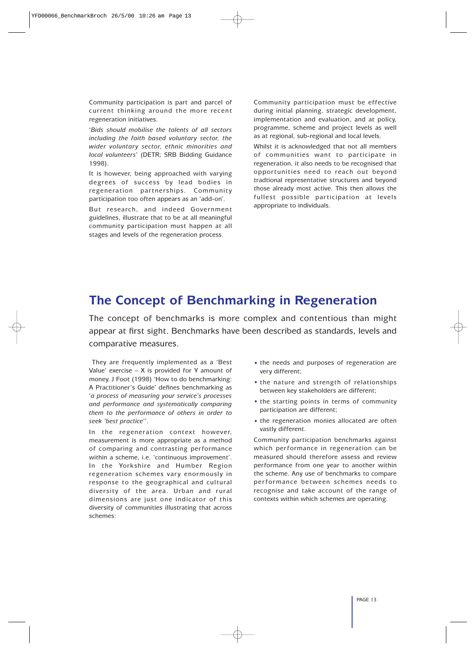Community participation is part and parcel of current thinking around the more recent regeneration initiatives.

'*Bids should mobilise the talents of all sectors including the faith based voluntary sector, the wider voluntary sector, ethnic minorities and local volunteers*' (DETR; SRB Bidding Guidance 1998).

It is however, being approached with varying degrees of success by lead bodies in regeneration partnerships. Community participation too often appears as an 'add-on'.

But research, and indeed Government guidelines, illustrate that to be at all meaningful community participation must happen at all stages and levels of the regeneration process.

Community participation must be effective during initial planning, strategic development, implementation and evaluation, and at policy, programme, scheme and project levels as well as at regional, sub-regional and local levels.

Whilst it is acknowledged that not all members of communities want to participate in regeneration, it also needs to be recognised that opportunities need to reach out beyond tradtional representative structures and beyond those already most active. This then allows the fullest possible participation at levels appropriate to individuals.

## **The Concept of Benchmarking in Regeneration**

The concept of benchmarks is more complex and contentious than might appear at first sight. Benchmarks have been described as standards, levels and comparative measures.

They are frequently implemented as a 'Best Value' exercise  $- X$  is provided for Y amount of money. J Foot (1998) 'How to do benchmarking: A Practitioner's Guide' defines benchmarking as '*a process of measuring your service's processes and performance and systematically comparing them to the performance of others in order to seek 'best practice*''.

In the regeneration context however, measurement is more appropriate as a method of comparing and contrasting performance within a scheme, i.e. 'continuous improvement'. In the Yorkshire and Humber Region regeneration schemes vary enormously in response to the geographical and cultural diversity of the area. Urban and rural dimensions are just one indicator of this diversity of communities illustrating that across schemes:

- the needs and purposes of regeneration are very different;
- the nature and strength of relationships between key stakeholders are different;
- the starting points in terms of community participation are different;
- the regeneration monies allocated are often vastly different.

Community participation benchmarks against which performance in regeneration can be measured should therefore assess and review performance from one year to another within the scheme. Any use of benchmarks to compare performance between schemes needs to recognise and take account of the range of contexts within which schemes are operating.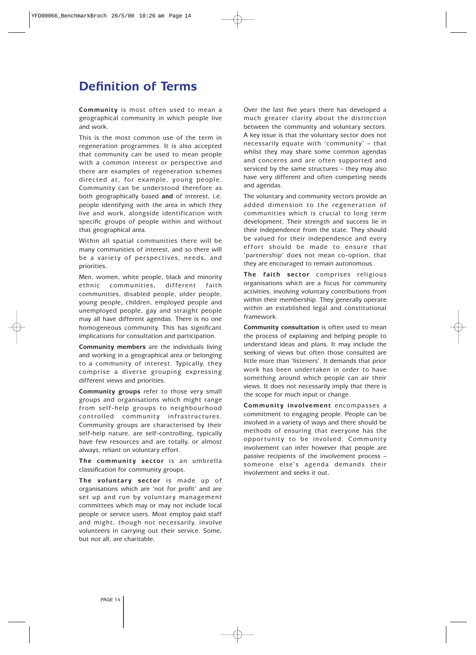## **Definition of Terms**

**Community** is most often used to mean a geographical community in which people live and work.

This is the most common use of the term in regeneration programmes. It is also accepted that community can be used to mean people with a common interest or perspective and there are examples of regeneration schemes directed at, for example, young people. Community can be understood therefore as both geographically based **and** of interest, i.e. people identifying with the area in which they live and work, alongside identification with specific groups of people within and without that geographical area.

Within all spatial communities there will be many communities of interest, and so there will be a variety of perspectives, needs, and priorities.

Men, women, white people, black and minority ethnic communities, different faith communities, disabled people, older people, young people, children, employed people and unemployed people, gay and straight people may all have different agendas. There is no one homogeneous community. This has significant implications for consultation and participation.

**Community members** are the individuals living and working in a geographical area or belonging to a community of interest. Typically, they comprise a diverse grouping expressing different views and priorities.

**Community groups** refer to those very small groups and organisations which might range from self-help groups to neighbourhood controlled community infrastructures. Community groups are characterised by their self-help nature, are self-controlling, typically have few resources and are totally, or almost always, reliant on voluntary effort.

**The community sector** is an umbrella classification for community groups.

**The voluntary sector** is made up of organisations which are 'not for profit' and are set up and run by voluntary management committees which may or may not include local people or service users. Most employ paid staff and might, though not necessarily, involve volunteers in carrying out their service. Some, but not all, are charitable.

Over the last five years there has developed a much greater clarity about the distinction between the community and voluntary sectors. A key issue is that the voluntary sector does not necessarily equate with 'community' – that whilst they may share some common agendas and concerns and are often supported and serviced by the same structures – they may also have very different and often competing needs and agendas.

The voluntary and community sectors provide an added dimension to the regeneration of communities which is crucial to long term development. Their strength and success lie in their independence from the state. They should be valued for their independence and every effort should be made to ensure that 'partnership' does not mean co-option, that they are encouraged to remain autonomous.

**The faith sector** comprises religious organisations which are a focus for community activities, involving voluntary contributions from within their membership. They generally operate within an established legal and constitutional framework.

**Community consultation** is often used to mean the process of explaining and helping people to understand ideas and plans. It may include the seeking of views but often those consulted are little more than 'listeners'. It demands that prior work has been undertaken in order to have something around which people can air their views. It does not necessarily imply that there is the scope for much input or change.

**Community involvement** encompasses a commitment to engaging people. People can be involved in a variety of ways and there should be methods of ensuring that everyone has the opportunity to be involved. Community involvement can infer however that people are passive recipients of the involvement process – someone else's agenda demands their involvement and seeks it out.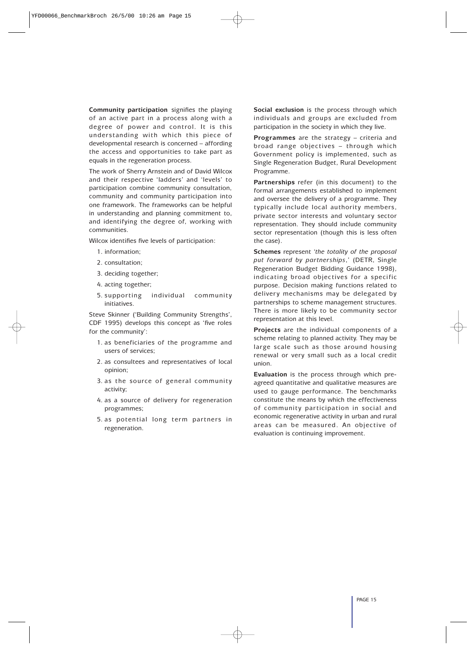**Community participation** signifies the playing of an active part in a process along with a degree of power and control. It is this understanding with which this piece of developmental research is concerned – affording the access and opportunities to take part as equals in the regeneration process.

The work of Sherry Arnstein and of David Wilcox and their respective 'ladders' and 'levels' to participation combine community consultation, community and community participation into one framework. The frameworks can be helpful in understanding and planning commitment to, and identifying the degree of, working with communities.

Wilcox identifies five levels of participation:

- 1. information;
- 2. consultation;
- 3. deciding together;
- 4. acting together;
- 5. supporting individual community initiatives.

Steve Skinner ('Building Community Strengths', CDF 1995) develops this concept as 'five roles for the community':

- 1. as beneficiaries of the programme and users of services;
- 2. as consultees and representatives of local opinion;
- 3. as the source of general community activity;
- 4. as a source of delivery for regeneration programmes;
- 5. as potential long term partners in regeneration.

**Social exclusion** is the process through which individuals and groups are excluded from participation in the society in which they live.

**Programmes** are the strategy – criteria and broad range objectives – through which Government policy is implemented, such as Single Regeneration Budget, Rural Development Programme.

**Partnerships** refer (in this document) to the formal arrangements established to implement and oversee the delivery of a programme. They typically include local authority members, private sector interests and voluntary sector representation. They should include community sector representation (though this is less often the case).

**Schemes** represent '*the totality of the proposal put forward by partnerships*,' (DETR, Single Regeneration Budget Bidding Guidance 1998), indicating broad objectives for a specific purpose. Decision making functions related to delivery mechanisms may be delegated by partnerships to scheme management structures. There is more likely to be community sector representation at this level.

**Projects** are the individual components of a scheme relating to planned activity. They may be large scale such as those around housing renewal or very small such as a local credit union.

**Evaluation** is the process through which preagreed quantitative and qualitative measures are used to gauge performance. The benchmarks constitute the means by which the effectiveness of community participation in social and economic regenerative activity in urban and rural areas can be measured. An objective of evaluation is continuing improvement.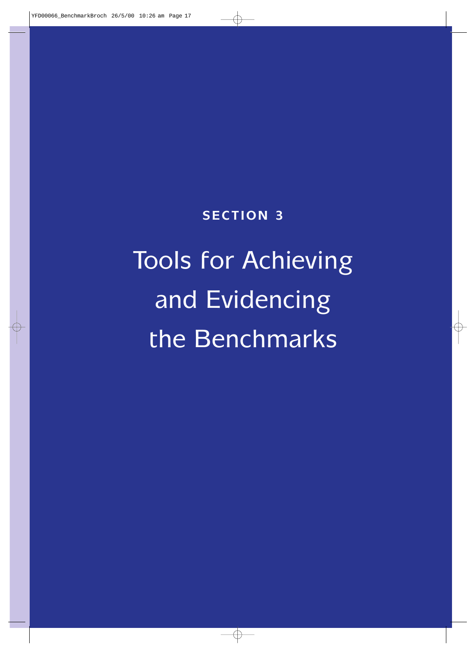**SECTION 3**

# Tools for Achieving and Evidencing the Benchmarks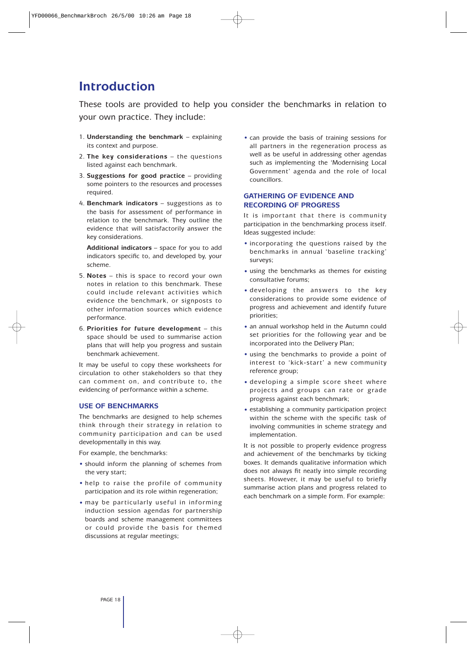## **Introduction**

These tools are provided to help you consider the benchmarks in relation to your own practice. They include:

- 1. **Understanding the benchmark** explaining its context and purpose.
- 2. **The key considerations** the questions listed against each benchmark.
- 3. **Suggestions for good practice** providing some pointers to the resources and processes required.
- 4. **Benchmark indicators** suggestions as to the basis for assessment of performance in relation to the benchmark. They outline the evidence that will satisfactorily answer the key considerations.

**Additional indicators** – space for you to add indicators specific to, and developed by, your scheme.

- 5. **Notes** this is space to record your own notes in relation to this benchmark. These could include relevant activities which evidence the benchmark, or signposts to other information sources which evidence performance.
- 6. **Priorities for future development** this space should be used to summarise action plans that will help you progress and sustain benchmark achievement.

It may be useful to copy these worksheets for circulation to other stakeholders so that they can comment on, and contribute to, the evidencing of performance within a scheme.

#### **USE OF BENCHMARKS**

The benchmarks are designed to help schemes think through their strategy in relation to community participation and can be used developmentally in this way.

For example, the benchmarks:

- should inform the planning of schemes from the very start;
- help to raise the profile of community participation and its role within regeneration;
- may be particularly useful in informing induction session agendas for partnership boards and scheme management committees or could provide the basis for themed discussions at regular meetings;

• can provide the basis of training sessions for all partners in the regeneration process as well as be useful in addressing other agendas such as implementing the 'Modernising Local Government' agenda and the role of local councillors.

#### **GATHERING OF EVIDENCE AND RECORDING OF PROGRESS**

It is important that there is community participation in the benchmarking process itself. Ideas suggested include:

- incorporating the questions raised by the benchmarks in annual 'baseline tracking' surveys;
- using the benchmarks as themes for existing consultative forums;
- developing the answers to the key considerations to provide some evidence of progress and achievement and identify future priorities;
- an annual workshop held in the Autumn could set priorities for the following year and be incorporated into the Delivery Plan;
- using the benchmarks to provide a point of interest to 'kick-start' a new community reference group;
- developing a simple score sheet where projects and groups can rate or grade progress against each benchmark;
- establishing a community participation project within the scheme with the specific task of involving communities in scheme strategy and implementation.

It is not possible to properly evidence progress and achievement of the benchmarks by ticking boxes. It demands qualitative information which does not always fit neatly into simple recording sheets. However, it may be useful to briefly summarise action plans and progress related to each benchmark on a simple form. For example: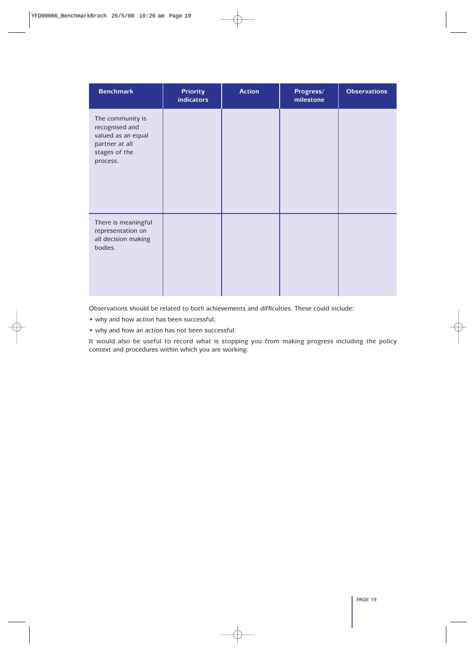| <b>Benchmark</b>                                                                                        | <b>Priority</b><br><b>indicators</b> | <b>Action</b> | Progress/<br>milestone | <b>Observations</b> |
|---------------------------------------------------------------------------------------------------------|--------------------------------------|---------------|------------------------|---------------------|
| The community is<br>recognised and<br>valued as an equal<br>partner at all<br>stages of the<br>process. |                                      |               |                        |                     |
| There is meaningful<br>representation on<br>all decision making<br>bodies.                              |                                      |               |                        |                     |

Observations should be related to both achievements and difficulties. These could include:

- why and how action has been successful;
- why and how an action has not been successful.

It would also be useful to record what is stopping you from making progress including the policy context and procedures within which you are working.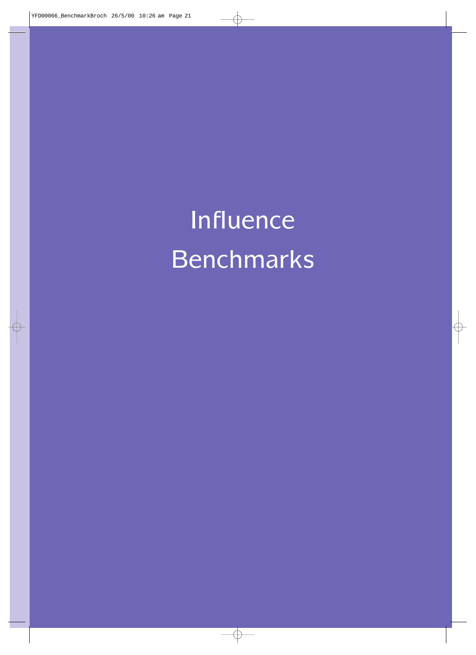Influence Benchmarks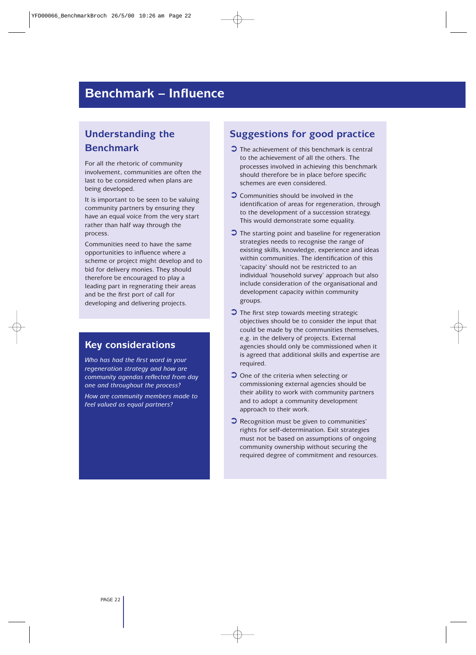## **Benchmark – Influence**

## **Understanding the Benchmark**

For all the rhetoric of community involvement, communities are often the last to be considered when plans are being developed.

It is important to be seen to be valuing community partners by ensuring they have an equal voice from the very start rather than half way through the process.

Communities need to have the same opportunities to influence where a scheme or project might develop and to bid for delivery monies. They should therefore be encouraged to play a leading part in regnerating their areas and be the first port of call for developing and delivering projects.

#### **Key considerations**

*Who has had the first word in your regeneration strategy and how are community agendas reflected from day one and throughout the process?*

*How are community members made to feel valued as equal partners?*

## **Suggestions for good practice**

- $\bullet$  The achievement of this benchmark is central to the achievement of all the others. The processes involved in achieving this benchmark should therefore be in place before specific schemes are even considered.
- ➲ Communities should be involved in the identification of areas for regeneration, through to the development of a succession strategy. This would demonstrate some equality.
- $\bullet$  The starting point and baseline for regeneration strategies needs to recognise the range of existing skills, knowledge, experience and ideas within communities. The identification of this 'capacity' should not be restricted to an individual 'household survey' approach but also include consideration of the organisational and development capacity within community groups.
- $\bullet$  The first step towards meeting strategic objectives should be to consider the input that could be made by the communities themselves, e.g. in the delivery of projects. External agencies should only be commissioned when it is agreed that additional skills and expertise are required.
- **◯** One of the criteria when selecting or commissioning external agencies should be their ability to work with community partners and to adopt a community development approach to their work.
- ➲ Recognition must be given to communities' rights for self-determination. Exit strategies must not be based on assumptions of ongoing community ownership without securing the required degree of commitment and resources.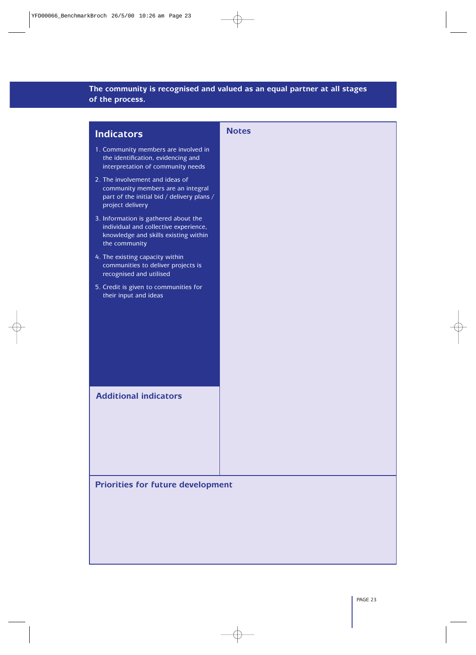## **The community is recognised and valued as an equal partner at all stages of the process.**

| <b>Indicators</b>                                                                                                                      | <b>Notes</b> |
|----------------------------------------------------------------------------------------------------------------------------------------|--------------|
| 1. Community members are involved in<br>the identification, evidencing and<br>interpretation of community needs                        |              |
| 2. The involvement and ideas of<br>community members are an integral<br>part of the initial bid / delivery plans /<br>project delivery |              |
| 3. Information is gathered about the<br>individual and collective experience,<br>knowledge and skills existing within<br>the community |              |
| 4. The existing capacity within<br>communities to deliver projects is<br>recognised and utilised                                       |              |
| 5. Credit is given to communities for<br>their input and ideas                                                                         |              |
| <b>Additional indicators</b>                                                                                                           |              |
| <b>Priorities for future development</b>                                                                                               |              |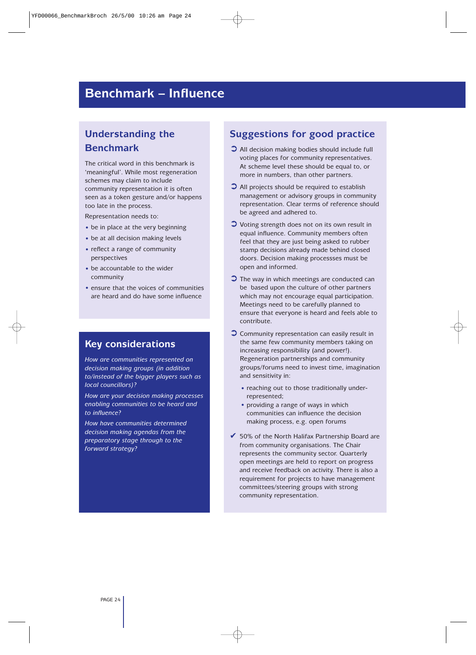## **Benchmark – Influence**

## **Understanding the Benchmark**

The critical word in this benchmark is 'meaningful'. While most regeneration schemes may claim to include community representation it is often seen as a token gesture and/or happens too late in the process.

Representation needs to:

- be in place at the very beginning
- be at all decision making levels
- reflect a range of community perspectives
- be accountable to the wider community
- ensure that the voices of communities are heard and do have some influence

#### **Key considerations**

*How are communities represented on decision making groups (in addition to/instead of the bigger players such as local councillors)?*

*How are your decision making processes enabling communities to be heard and to influence?*

*How have communities determined decision making agendas from the preparatory stage through to the forward strategy?*

#### **Suggestions for good practice**

- ➲ All decision making bodies should include full voting places for community representatives. At scheme level these should be equal to, or more in numbers, than other partners.
- ➲ All projects should be required to establish management or advisory groups in community representation. Clear terms of reference should be agreed and adhered to.
- ➲ Voting strength does not on its own result in equal influence. Community members often feel that they are just being asked to rubber stamp decisions already made behind closed doors. Decision making processses must be open and informed.
- ➲ The way in which meetings are conducted can be based upon the culture of other partners which may not encourage equal participation. Meetings need to be carefully planned to ensure that everyone is heard and feels able to contribute.
- ➲ Community representation can easily result in the same few community members taking on increasing responsibility (and power!). Regeneration partnerships and community groups/forums need to invest time, imagination and sensitivity in:
	- reaching out to those traditionally underrepresented;
	- providing a range of ways in which communities can influence the decision making process, e.g. open forums
- $\overline{6}$  50% of the North Halifax Partnership Board are from community organisations. The Chair represents the community sector. Quarterly open meetings are held to report on progress and receive feedback on activity. There is also a requirement for projects to have management committees/steering groups with strong community representation.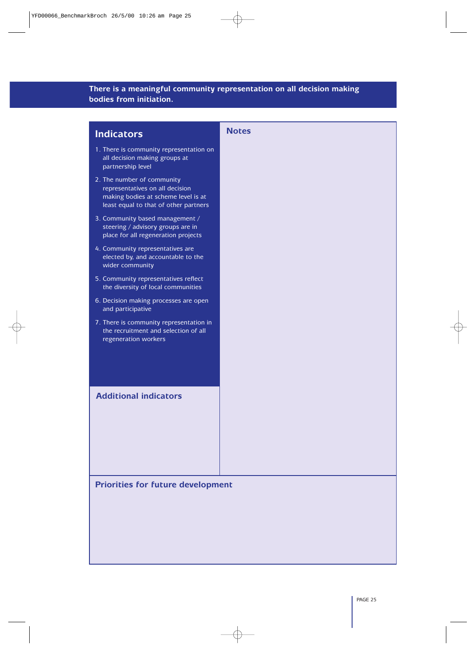#### **There is a meaningful community representation on all decision making bodies from initiation.**

## **Indicators** 1. There is community representation on all decision making groups at partnership level 2. The number of community representatives on all decision making bodies at scheme level is at least equal to that of other partners 3. Community based management / steering / advisory groups are in place for all regeneration projects 4. Community representatives are elected by, and accountable to the wider community 5. Community representatives reflect the diversity of local communities 6. Decision making processes are open and participative 7. There is community representation in the recruitment and selection of all regeneration workers **Notes Additional indicators**

#### **Priorities for future development**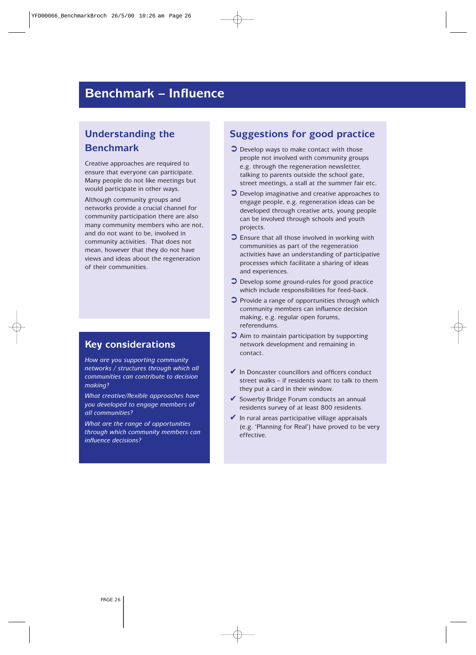## **Benchmark – Influence**

## **Understanding the Benchmark**

Creative approaches are required to ensure that everyone can participate. Many people do not like meetings but would participate in other ways.

Although community groups and networks provide a crucial channel for community participation there are also many community members who are not, and do not want to be, involved in community activities. That does not mean, however that they do not have views and ideas about the regeneration of their communities.

### **Key considerations**

*How are you supporting community networks / structures through which all communities can contribute to decision making?*

*What creative/flexible approaches have you developed to engage members of all communities?*

*What are the range of opportunities through which community members can influence decisions?*

### **Suggestions for good practice**

- ➲ Develop ways to make contact with those people not involved with community groups e.g. through the regeneration newsletter, talking to parents outside the school gate, street meetings, a stall at the summer fair etc.
- ➲ Develop imaginative and creative approaches to engage people, e.g. regeneration ideas can be developed through creative arts, young people can be involved through schools and youth projects.
- ➲ Ensure that all those involved in working with communities as part of the regeneration activities have an understanding of participative processes which facilitate a sharing of ideas and experiences.
- ➲ Develop some ground-rules for good practice which include responsibilities for feed-back.
- $\bullet$  Provide a range of opportunities through which community members can influence decision making, e.g. regular open forums, referendums.
- ➲ Aim to maintain participation by supporting network development and remaining in contact.
- $\vee$  In Doncaster councillors and officers conduct street walks – if residents want to talk to them they put a card in their window.
- ✔ Sowerby Bridge Forum conducts an annual residents survey of at least 800 residents.
- $\blacktriangleright$  In rural areas participative village appraisals (e.g. 'Planning for Real') have proved to be very effective.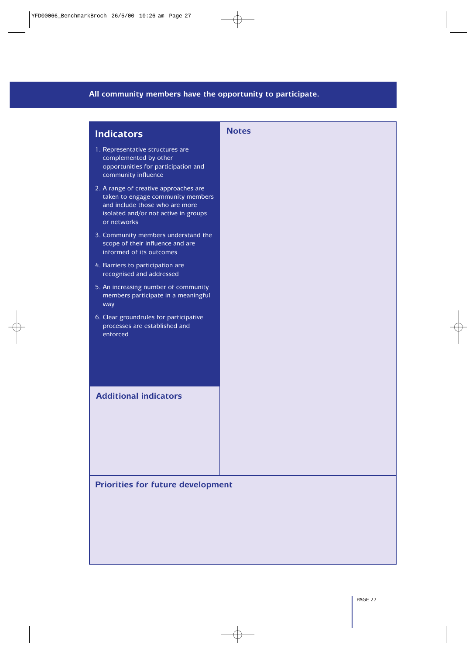## **All community members have the opportunity to participate.**

| <b>Indicators</b>                                                                                                                                                   | <b>Notes</b> |
|---------------------------------------------------------------------------------------------------------------------------------------------------------------------|--------------|
| 1. Representative structures are<br>complemented by other<br>opportunities for participation and<br>community influence                                             |              |
| 2. A range of creative approaches are<br>taken to engage community members<br>and include those who are more<br>isolated and/or not active in groups<br>or networks |              |
| 3. Community members understand the<br>scope of their influence and are<br>informed of its outcomes                                                                 |              |
| 4. Barriers to participation are<br>recognised and addressed                                                                                                        |              |
| 5. An increasing number of community<br>members participate in a meaningful<br>way                                                                                  |              |
| 6. Clear groundrules for participative<br>processes are established and<br>enforced                                                                                 |              |
| <b>Additional indicators</b>                                                                                                                                        |              |
|                                                                                                                                                                     |              |

**Priorities for future development**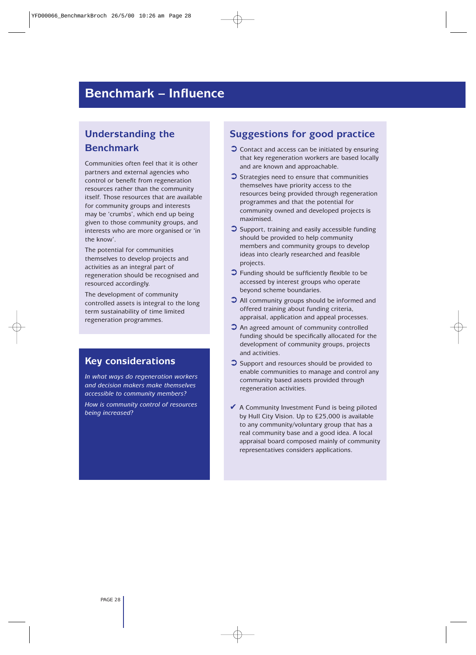## **Benchmark – Influence**

## **Understanding the Benchmark**

Communities often feel that it is other partners and external agencies who control or benefit from regeneration resources rather than the community itself. Those resources that are available for community groups and interests may be 'crumbs', which end up being given to those community groups, and interests who are more organised or 'in the know'.

The potential for communities themselves to develop projects and activities as an integral part of regeneration should be recognised and resourced accordingly.

The development of community controlled assets is integral to the long term sustainability of time limited regeneration programmes.

#### **Key considerations**

*In what ways do regeneration workers and decision makers make themselves accessible to community members?*

*How is community control of resources being increased?*

## **Suggestions for good practice**

- $\bullet$  Contact and access can be initiated by ensuring that key regeneration workers are based locally and are known and approachable.
- ➲ Strategies need to ensure that communities themselves have priority access to the resources being provided through regeneration programmes and that the potential for community owned and developed projects is maximised.
- ➲ Support, training and easily accessible funding should be provided to help community members and community groups to develop ideas into clearly researched and feasible projects.
- ➲ Funding should be sufficiently flexible to be accessed by interest groups who operate beyond scheme boundaries.
- ➲ All community groups should be informed and offered training about funding criteria, appraisal, application and appeal processes.
- ➲ An agreed amount of community controlled funding should be specifically allocated for the development of community groups, projects and activities.
- ➲ Support and resources should be provided to enable communities to manage and control any community based assets provided through regeneration activities.
- $\blacktriangleright$  A Community Investment Fund is being piloted by Hull City Vision. Up to £25,000 is available to any community/voluntary group that has a real community base and a good idea. A local appraisal board composed mainly of community representatives considers applications.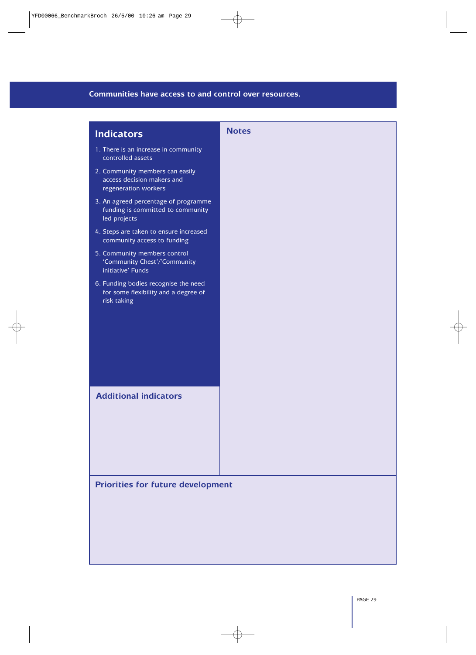#### **Communities have access to and control over resources.**

| <b>Notes</b>                             |
|------------------------------------------|
|                                          |
|                                          |
|                                          |
|                                          |
|                                          |
|                                          |
|                                          |
| <b>Priorities for future development</b> |
|                                          |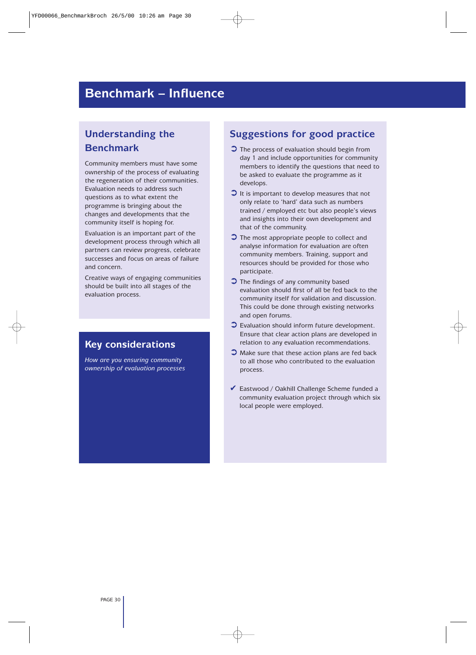## **Benchmark – Influence**

## **Understanding the Benchmark**

Community members must have some ownership of the process of evaluating the regeneration of their communities. Evaluation needs to address such questions as to what extent the programme is bringing about the changes and developments that the community itself is hoping for.

Evaluation is an important part of the development process through which all partners can review progress, celebrate successes and focus on areas of failure and concern.

Creative ways of engaging communities should be built into all stages of the evaluation process.

## **Key considerations**

*How are you ensuring community ownership of evaluation processes*

### **Suggestions for good practice**

- ➲ The process of evaluation should begin from day 1 and include opportunities for community members to identify the questions that need to be asked to evaluate the programme as it develops.
- $\bullet$  It is important to develop measures that not only relate to 'hard' data such as numbers trained / employed etc but also people's views and insights into their own development and that of the community.
- ➲ The most appropriate people to collect and analyse information for evaluation are often community members. Training, support and resources should be provided for those who participate.
- ➲ The findings of any community based evaluation should first of all be fed back to the community itself for validation and discussion. This could be done through existing networks and open forums.
- ➲ Evaluation should inform future development. Ensure that clear action plans are developed in relation to any evaluation recommendations.
- ➲ Make sure that these action plans are fed back to all those who contributed to the evaluation process.
- ✔ Eastwood / Oakhill Challenge Scheme funded a community evaluation project through which six local people were employed.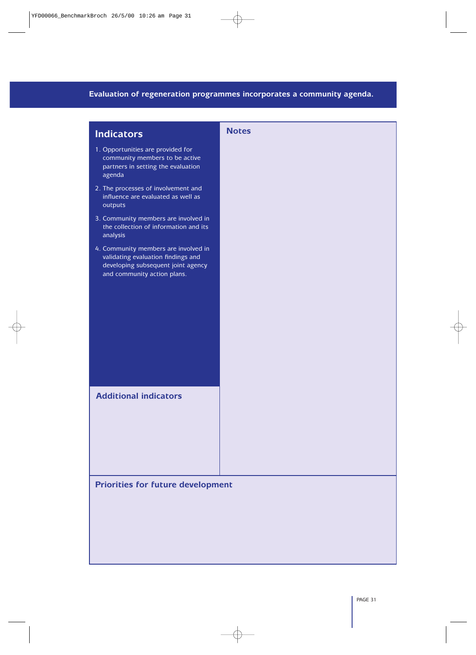#### **Evaluation of regeneration programmes incorporates a community agenda.**

| <b>Indicators</b>                                                                                                                               | <b>Notes</b> |
|-------------------------------------------------------------------------------------------------------------------------------------------------|--------------|
| 1. Opportunities are provided for<br>community members to be active<br>partners in setting the evaluation<br>agenda                             |              |
| 2. The processes of involvement and<br>influence are evaluated as well as<br>outputs                                                            |              |
| 3. Community members are involved in<br>the collection of information and its<br>analysis                                                       |              |
| 4. Community members are involved in<br>validating evaluation findings and<br>developing subsequent joint agency<br>and community action plans. |              |
| <b>Additional indicators</b>                                                                                                                    |              |

**Priorities for future development**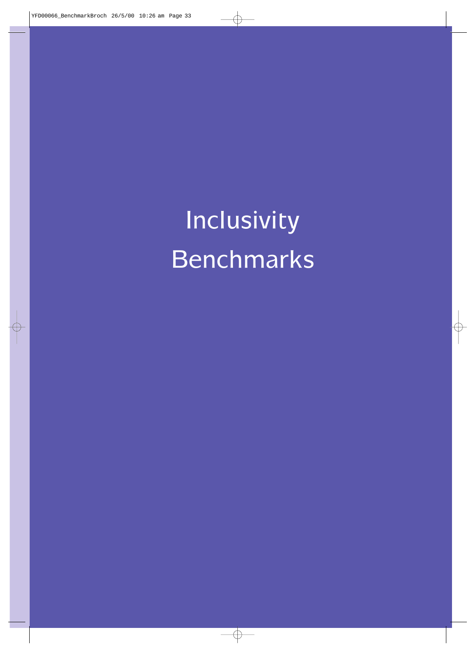Inclusivity Benchmarks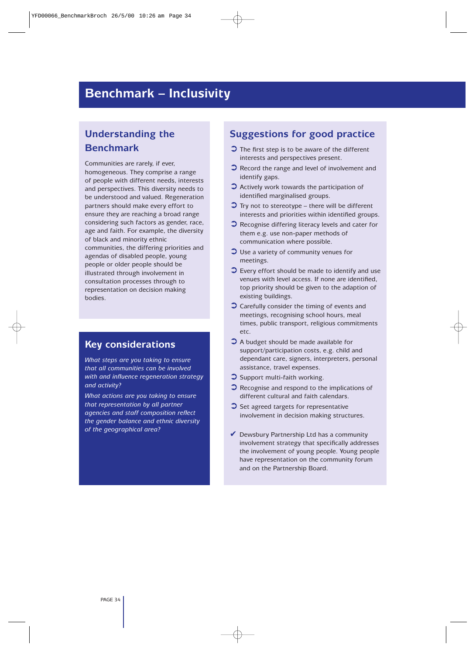### **Benchmark – Inclusivity**

### **Understanding the Benchmark**

Communities are rarely, if ever, homogeneous. They comprise a range of people with different needs, interests and perspectives. This diversity needs to be understood and valued. Regeneration partners should make every effort to ensure they are reaching a broad range considering such factors as gender, race, age and faith. For example, the diversity of black and minority ethnic communities, the differing priorities and agendas of disabled people, young people or older people should be illustrated through involvement in consultation processes through to representation on decision making bodies.

#### **Key considerations**

*What steps are you taking to ensure that all communities can be involved with and influence regeneration strategy and activity?*

*What actions are you taking to ensure that representation by all partner agencies and staff composition reflect the gender balance and ethnic diversity of the geographical area?*

- $\bullet$  The first step is to be aware of the different interests and perspectives present.
- **◯** Record the range and level of involvement and identify gaps.
- ➲ Actively work towards the participation of identified marginalised groups.
- $\bullet$  Try not to stereotype there will be different interests and priorities within identified groups.
- $\bullet$  Recognise differing literacy levels and cater for them e.g. use non-paper methods of communication where possible.
- ➲ Use a variety of community venues for meetings.
- $\bullet$  Every effort should be made to identify and use venues with level access. If none are identified, top priority should be given to the adaption of existing buildings.
- ➲ Carefully consider the timing of events and meetings, recognising school hours, meal times, public transport, religious commitments etc.
- ➲ A budget should be made available for support/participation costs, e.g. child and dependant care, signers, interpreters, personal assistance, travel expenses.
- $\bullet$  Support multi-faith working.
- ➲ Recognise and respond to the implications of different cultural and faith calendars.
- **◯** Set agreed targets for representative involvement in decision making structures.
- $\vee$  Dewsbury Partnership Ltd has a community involvement strategy that specifically addresses the involvement of young people. Young people have representation on the community forum and on the Partnership Board.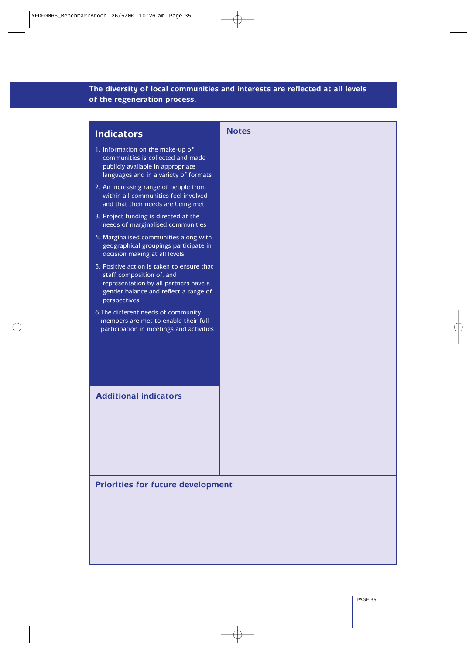#### **The diversity of local communities and interests are reflected at all levels of the regeneration process.**

| <b>Indicators</b>                                                                                                                                                         | <b>Notes</b> |
|---------------------------------------------------------------------------------------------------------------------------------------------------------------------------|--------------|
| 1. Information on the make-up of<br>communities is collected and made<br>publicly available in appropriate<br>languages and in a variety of formats                       |              |
| 2. An increasing range of people from<br>within all communities feel involved<br>and that their needs are being met                                                       |              |
| 3. Project funding is directed at the<br>needs of marginalised communities                                                                                                |              |
| 4. Marginalised communities along with<br>geographical groupings participate in<br>decision making at all levels                                                          |              |
| 5. Positive action is taken to ensure that<br>staff composition of, and<br>representation by all partners have a<br>gender balance and reflect a range of<br>perspectives |              |
| 6. The different needs of community<br>members are met to enable their full<br>participation in meetings and activities                                                   |              |
| <b>Additional indicators</b>                                                                                                                                              |              |

**Priorities for future development**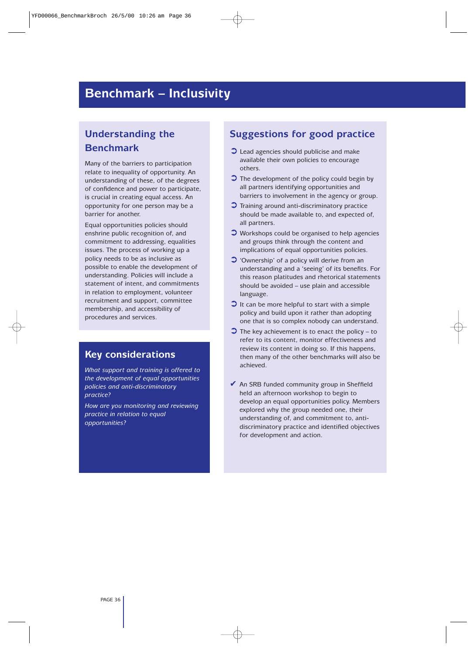### **Benchmark – Inclusivity**

### **Understanding the Benchmark**

Many of the barriers to participation relate to inequality of opportunity. An understanding of these, of the degrees of confidence and power to participate, is crucial in creating equal access. An opportunity for one person may be a barrier for another.

Equal opportunities policies should enshrine public recognition of, and commitment to addressing, equalities issues. The process of working up a policy needs to be as inclusive as possible to enable the development of understanding. Policies will include a statement of intent, and commitments in relation to employment, volunteer recruitment and support, committee membership, and accessibility of procedures and services.

#### **Key considerations**

*What support and training is offered to the development of equal opportunities policies and anti-discriminatory practice?*

*How are you monitoring and reviewing practice in relation to equal opportunities?*

- ➲ Lead agencies should publicise and make available their own policies to encourage others.
- ➲ The development of the policy could begin by all partners identifying opportunities and barriers to involvement in the agency or group.
- ➲ Training around anti-discriminatory practice should be made available to, and expected of, all partners.
- ➲ Workshops could be organised to help agencies and groups think through the content and implications of equal opportunities policies.
- ➲ 'Ownership' of a policy will derive from an understanding and a 'seeing' of its benefits. For this reason platitudes and rhetorical statements should be avoided – use plain and accessible language.
- $\bullet$  It can be more helpful to start with a simple policy and build upon it rather than adopting one that is so complex nobody can understand.
- $\bullet$  The key achievement is to enact the policy to refer to its content, monitor effectiveness and review its content in doing so. If this happens, then many of the other benchmarks will also be achieved.
- ◆ An SRB funded community group in Sheffield held an afternoon workshop to begin to develop an equal opportunities policy. Members explored why the group needed one, their understanding of, and commitment to, antidiscriminatory practice and identified objectives for development and action.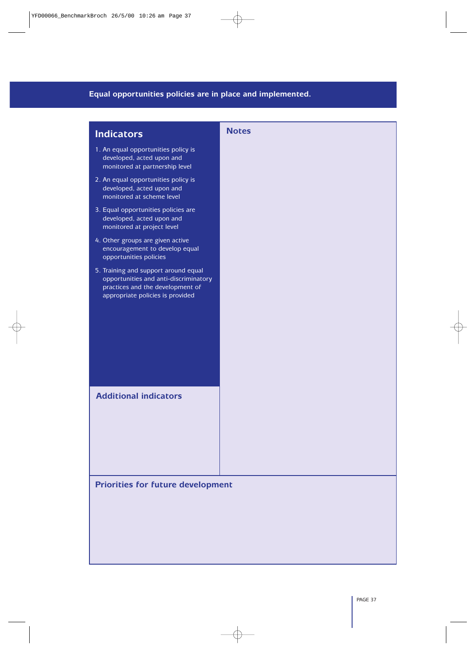### **Equal opportunities policies are in place and implemented.**

| <b>Indicators</b>                                                                                                                                     | <b>Notes</b> |
|-------------------------------------------------------------------------------------------------------------------------------------------------------|--------------|
| 1. An equal opportunities policy is<br>developed, acted upon and<br>monitored at partnership level                                                    |              |
| 2. An equal opportunities policy is<br>developed, acted upon and<br>monitored at scheme level                                                         |              |
| 3. Equal opportunities policies are<br>developed, acted upon and<br>monitored at project level                                                        |              |
| 4. Other groups are given active<br>encouragement to develop equal<br>opportunities policies                                                          |              |
| 5. Training and support around equal<br>opportunities and anti-discriminatory<br>practices and the development of<br>appropriate policies is provided |              |
| <b>Additional indicators</b>                                                                                                                          |              |
| <b>Priorities for future development</b>                                                                                                              |              |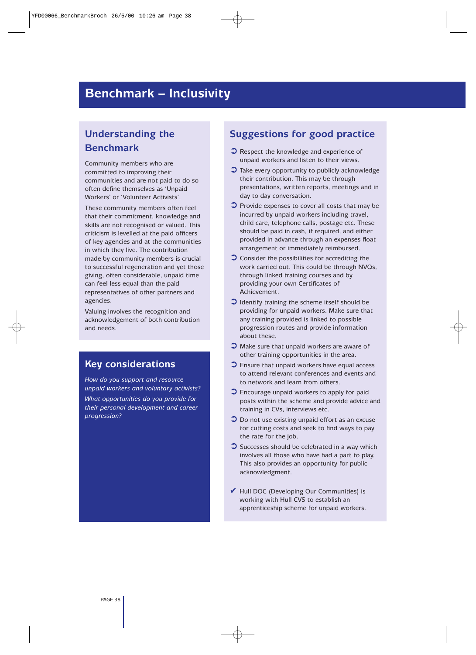### **Benchmark – Inclusivity**

### **Understanding the Benchmark**

Community members who are committed to improving their communities and are not paid to do so often define themselves as 'Unpaid Workers' or 'Volunteer Activists'.

These community members often feel that their commitment, knowledge and skills are not recognised or valued. This criticism is levelled at the paid officers of key agencies and at the communities in which they live. The contribution made by community members is crucial to successful regeneration and yet those giving, often considerable, unpaid time can feel less equal than the paid representatives of other partners and agencies.

Valuing involves the recognition and acknowledgement of both contribution and needs.

#### **Key considerations**

*How do you support and resource unpaid workers and voluntary activists?*

*What opportunities do you provide for their personal development and career progression?*

- ➲ Respect the knowledge and experience of unpaid workers and listen to their views.
- $\bullet$  Take every opportunity to publicly acknowledge their contribution. This may be through presentations, written reports, meetings and in day to day conversation.
- ➲ Provide expenses to cover all costs that may be incurred by unpaid workers including travel, child care, telephone calls, postage etc. These should be paid in cash, if required, and either provided in advance through an expenses float arrangement or immediately reimbursed.
- ➲ Consider the possibilities for accrediting the work carried out. This could be through NVQs, through linked training courses and by providing your own Certificates of Achievement.
- ➲ Identify training the scheme itself should be providing for unpaid workers. Make sure that any training provided is linked to possible progression routes and provide information about these.
- ➲ Make sure that unpaid workers are aware of other training opportunities in the area.
- $\bullet$  Ensure that unpaid workers have equal access to attend relevant conferences and events and to network and learn from others.
- ➲ Encourage unpaid workers to apply for paid posts within the scheme and provide advice and training in CVs, interviews etc.
- ◯ Do not use existing unpaid effort as an excuse for cutting costs and seek to find ways to pay the rate for the job.
- $\bullet$  Successes should be celebrated in a way which involves all those who have had a part to play. This also provides an opportunity for public acknowledgment.
- $\blacktriangleright$  Hull DOC (Developing Our Communities) is working with Hull CVS to establish an apprenticeship scheme for unpaid workers.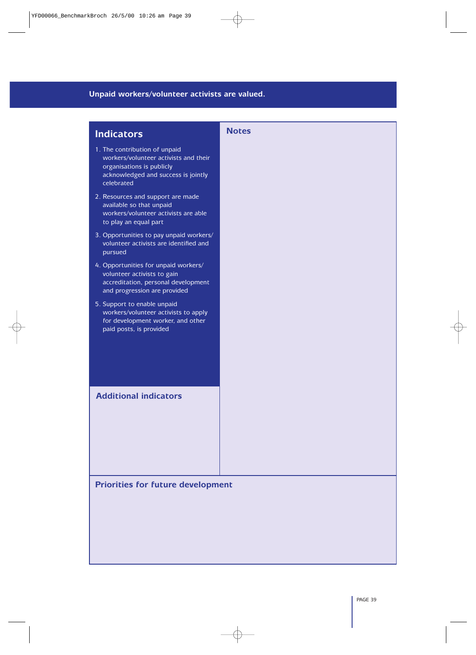### **Unpaid workers/volunteer activists are valued.**

| <b>Indicators</b>                                                                                                                                        | <b>Notes</b> |
|----------------------------------------------------------------------------------------------------------------------------------------------------------|--------------|
| 1. The contribution of unpaid<br>workers/volunteer activists and their<br>organisations is publicly<br>acknowledged and success is jointly<br>celebrated |              |
| 2. Resources and support are made<br>available so that unpaid<br>workers/volunteer activists are able<br>to play an equal part                           |              |
| 3. Opportunities to pay unpaid workers/<br>volunteer activists are identified and<br>pursued                                                             |              |
| 4. Opportunities for unpaid workers/<br>volunteer activists to gain<br>accreditation, personal development<br>and progression are provided               |              |
| 5. Support to enable unpaid<br>workers/volunteer activists to apply<br>for development worker, and other<br>paid posts, is provided                      |              |
| <b>Additional indicators</b>                                                                                                                             |              |

**Priorities for future development**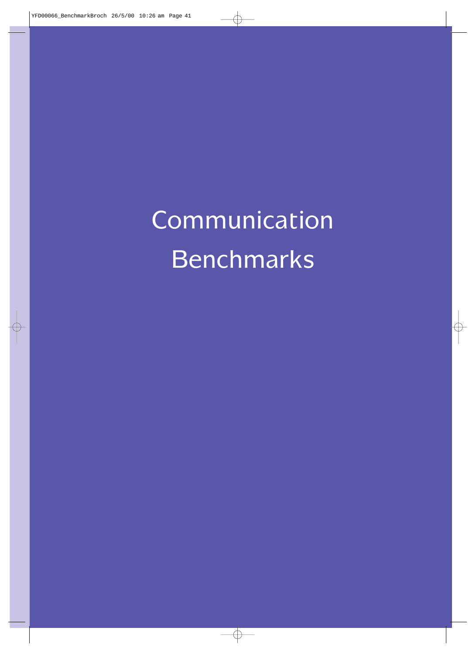Communication Benchmarks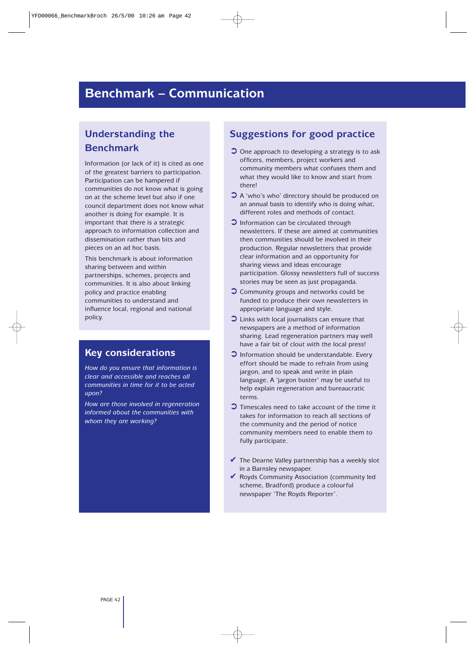### **Benchmark – Communication**

### **Understanding the Benchmark**

Information (or lack of it) is cited as one of the greatest barriers to participation. Participation can be hampered if communities do not know what is going on at the scheme level but also if one council department does not know what another is doing for example. It is important that there is a strategic approach to information collection and dissemination rather than bits and pieces on an ad hoc basis.

This benchmark is about information sharing between and within partnerships, schemes, projects and communities. It is also about linking policy and practice enabling communities to understand and influence local, regional and national policy.

#### **Key considerations**

*How do you ensure that information is clear and accessible and reaches all communities in time for it to be acted upon?*

*How are those involved in regeneration informed about the communities with whom they are working?*

- $\bullet$  One approach to developing a strategy is to ask officers, members, project workers and community members what confuses them and what they would like to know and start from there!
- ➲ A 'who's who' directory should be produced on an annual basis to identify who is doing what, different roles and methods of contact.
- ➲ Information can be circulated through newsletters. If these are aimed at communities then communities should be involved in their production. Regular newsletters that provide clear information and an opportunity for sharing views and ideas encourage participation. Glossy newsletters full of success stories may be seen as just propaganda.
- ➲ Community groups and networks could be funded to produce their own newsletters in appropriate language and style.
- ➲ Links with local journalists can ensure that newspapers are a method of information sharing. Lead regeneration partners may well have a fair bit of clout with the local press!
- ➲ Information should be understandable. Every effort should be made to refrain from using jargon, and to speak and write in plain language. A 'jargon buster' may be useful to help explain regeneration and bureaucratic terms.
- $\bullet$  Timescales need to take account of the time it takes for information to reach all sections of the community and the period of notice community members need to enable them to fully participate.
- $\blacktriangleright$  The Dearne Valley partnership has a weekly slot in a Barnsley newspaper.
- ✔ Royds Community Association (community led scheme, Bradford) produce a colourful newspaper 'The Royds Reporter'.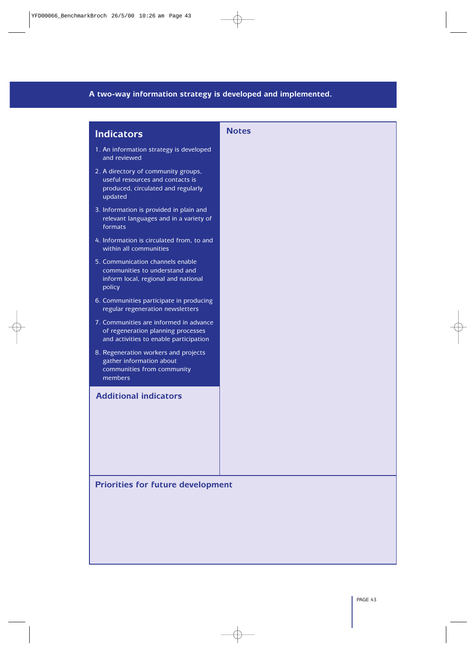### **A two-way information strategy is developed and implemented.**

| <b>Indicators</b>                                                                                                        | <b>Notes</b> |
|--------------------------------------------------------------------------------------------------------------------------|--------------|
| 1. An information strategy is developed<br>and reviewed                                                                  |              |
| 2. A directory of community groups,<br>useful resources and contacts is<br>produced, circulated and regularly<br>updated |              |
| 3. Information is provided in plain and<br>relevant languages and in a variety of<br>formats                             |              |
| 4. Information is circulated from, to and<br>within all communities                                                      |              |
| 5. Communication channels enable<br>communities to understand and<br>inform local, regional and national<br>policy       |              |
| 6. Communities participate in producing<br>regular regeneration newsletters                                              |              |
| 7. Communities are informed in advance<br>of regeneration planning processes<br>and activities to enable participation   |              |
| 8. Regeneration workers and projects<br>gather information about<br>communities from community<br>members                |              |
| <b>Additional indicators</b>                                                                                             |              |
|                                                                                                                          |              |
|                                                                                                                          |              |
|                                                                                                                          |              |
| <b>Priorities for future development</b>                                                                                 |              |
|                                                                                                                          |              |
|                                                                                                                          |              |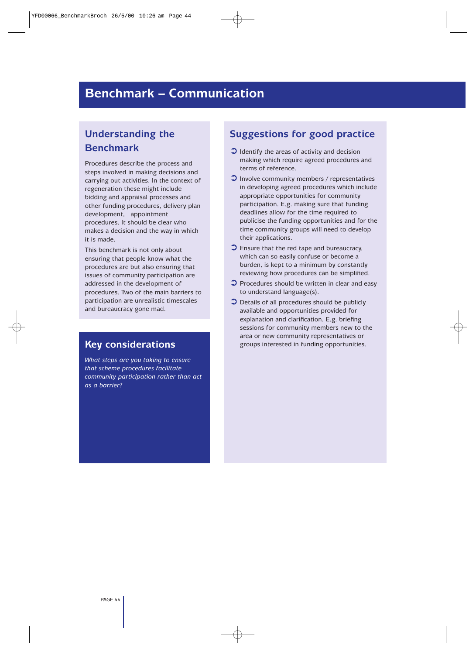### **Benchmark – Communication**

### **Understanding the Benchmark**

Procedures describe the process and steps involved in making decisions and carrying out activities. In the context of regeneration these might include bidding and appraisal processes and other funding procedures, delivery plan development, appointment procedures. It should be clear who makes a decision and the way in which it is made.

This benchmark is not only about ensuring that people know what the procedures are but also ensuring that issues of community participation are addressed in the development of procedures. Two of the main barriers to participation are unrealistic timescales and bureaucracy gone mad.

*What steps are you taking to ensure that scheme procedures facilitate community participation rather than act as a barrier?*

- $\bullet$  Identify the areas of activity and decision making which require agreed procedures and terms of reference.
- ➲ Involve community members / representatives in developing agreed procedures which include appropriate opportunities for community participation. E.g. making sure that funding deadlines allow for the time required to publicise the funding opportunities and for the time community groups will need to develop their applications.
- ➲ Ensure that the red tape and bureaucracy, which can so easily confuse or become a burden, is kept to a minimum by constantly reviewing how procedures can be simplified.
- ◯ Procedures should be written in clear and easy to understand language(s).
- ➲ Details of all procedures should be publicly available and opportunities provided for explanation and clarification. E.g. briefing sessions for community members new to the area or new community representatives or Key considerations **Key considerations** groups interested in funding opportunities.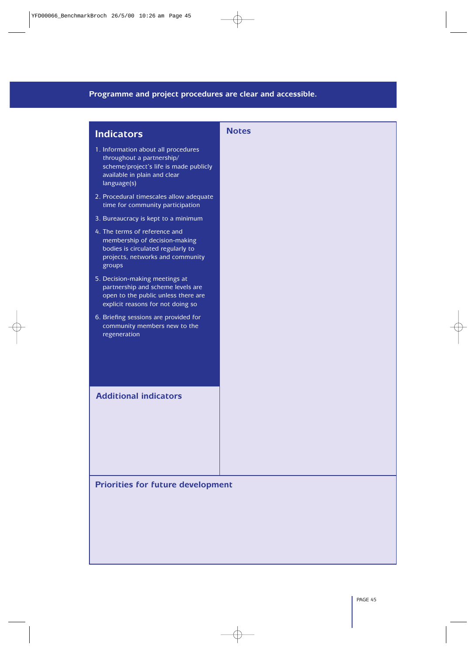#### **Programme and project procedures are clear and accessible.**

| <b>Indicators</b>                                                                                                                                         | <b>Notes</b> |
|-----------------------------------------------------------------------------------------------------------------------------------------------------------|--------------|
| 1. Information about all procedures<br>throughout a partnership/<br>scheme/project's life is made publicly<br>available in plain and clear<br>language(s) |              |
| 2. Procedural timescales allow adequate<br>time for community participation                                                                               |              |
| 3. Bureaucracy is kept to a minimum                                                                                                                       |              |
| 4. The terms of reference and<br>membership of decision-making<br>bodies is circulated regularly to<br>projects, networks and community<br>groups         |              |
| 5. Decision-making meetings at<br>partnership and scheme levels are<br>open to the public unless there are<br>explicit reasons for not doing so           |              |
| 6. Briefing sessions are provided for<br>community members new to the<br>regeneration                                                                     |              |
| <b>Additional indicators</b>                                                                                                                              |              |

**Priorities for future development**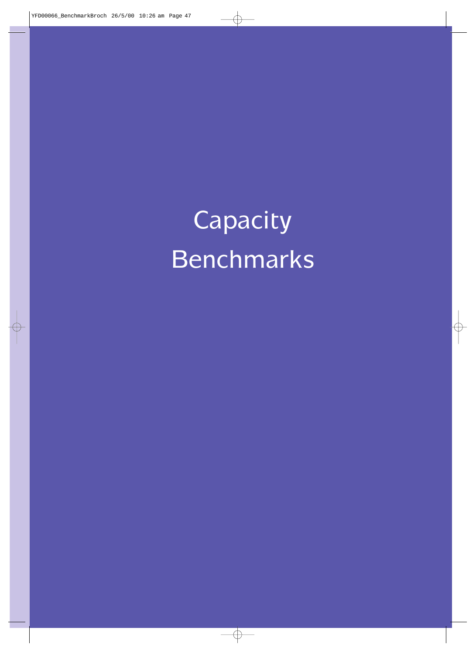Capacity Benchmarks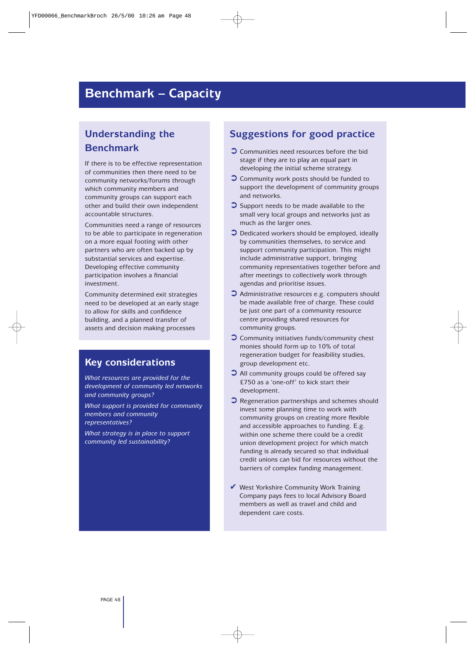### **Benchmark – Capacity**

### **Understanding the Benchmark**

If there is to be effective representation of communities then there need to be community networks/forums through which community members and community groups can support each other and build their own independent accountable structures.

Communities need a range of resources to be able to participate in regeneration on a more equal footing with other partners who are often backed up by substantial services and expertise. Developing effective community participation involves a financial investment.

Community determined exit strategies need to be developed at an early stage to allow for skills and confidence building, and a planned transfer of assets and decision making processes

#### **Key considerations**

*What resources are provided for the development of community led networks and community groups?*

*What support is provided for community members and community representatives?*

*What strategy is in place to support community led sustainability?*

- ➲ Communities need resources before the bid stage if they are to play an equal part in developing the initial scheme strategy.
- ➲ Community work posts should be funded to support the development of community groups and networks.
- ➲ Support needs to be made available to the small very local groups and networks just as much as the larger ones.
- $\bullet$  Dedicated workers should be employed, ideally by communities themselves, to service and support community participation. This might include administrative support, bringing community representatives together before and after meetings to collectively work through agendas and prioritise issues.
- ➲ Administrative resources e.g. computers should be made available free of charge. These could be just one part of a community resource centre providing shared resources for community groups.
- ➲ Community initiatives funds/community chest monies should form up to 10% of total regeneration budget for feasibility studies, group development etc.
- ➲ All community groups could be offered say £750 as a 'one-off' to kick start their development.
- ➲ Regeneration partnerships and schemes should invest some planning time to work with community groups on creating more flexible and accessible approaches to funding. E.g. within one scheme there could be a credit union development project for which match funding is already secured so that individual credit unions can bid for resources without the barriers of complex funding management.
- $\vee$  West Yorkshire Community Work Training Company pays fees to local Advisory Board members as well as travel and child and dependent care costs.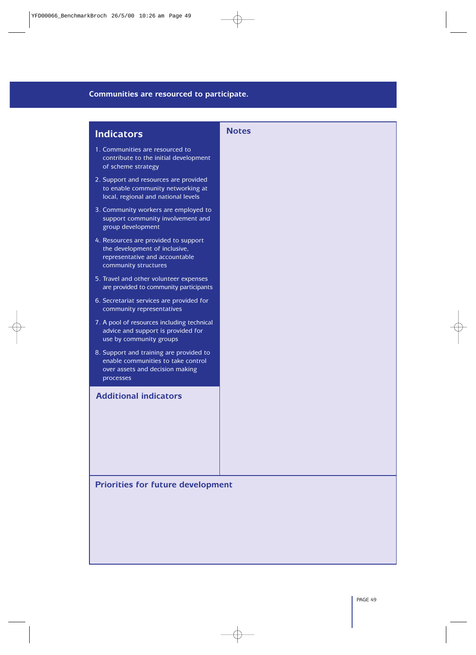#### **Communities are resourced to participate.**

| <b>Indicators</b>                                                                                                               | <b>Notes</b> |
|---------------------------------------------------------------------------------------------------------------------------------|--------------|
| 1. Communities are resourced to<br>contribute to the initial development<br>of scheme strategy                                  |              |
| 2. Support and resources are provided<br>to enable community networking at<br>local, regional and national levels               |              |
| 3. Community workers are employed to<br>support community involvement and<br>group development                                  |              |
| 4. Resources are provided to support<br>the development of inclusive,<br>representative and accountable<br>community structures |              |
| 5. Travel and other volunteer expenses<br>are provided to community participants                                                |              |
| 6. Secretariat services are provided for<br>community representatives                                                           |              |
| 7. A pool of resources including technical<br>advice and support is provided for<br>use by community groups                     |              |
| 8. Support and training are provided to<br>enable communities to take control<br>over assets and decision making<br>processes   |              |
| <b>Additional indicators</b>                                                                                                    |              |
|                                                                                                                                 |              |
|                                                                                                                                 |              |
|                                                                                                                                 |              |
| <b>Priorities for future development</b>                                                                                        |              |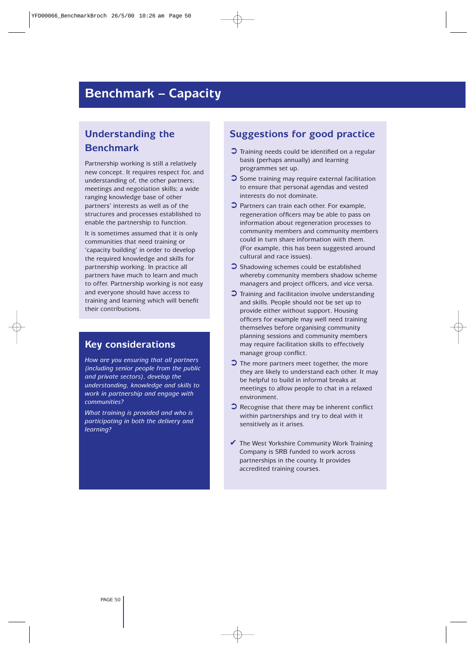### **Benchmark – Capacity**

### **Understanding the Benchmark**

Partnership working is still a relatively new concept. It requires respect for, and understanding of, the other partners; meetings and negotiation skills; a wide ranging knowledge base of other partners' interests as well as of the structures and processes established to enable the partnership to function.

It is sometimes assumed that it is only communities that need training or 'capacity building' in order to develop the required knowledge and skills for partnership working. In practice all partners have much to learn and much to offer. Partnership working is not easy and everyone should have access to training and learning which will benefit their contributions.

#### **Key considerations**

*How are you ensuring that all partners (including senior people from the public and private sectors), develop the understanding, knowledge and skills to work in partnership and engage with communities?*

*What training is provided and who is participating in both the delivery and learning?*

- ➲ Training needs could be identified on a regular basis (perhaps annually) and learning programmes set up.
- $\bullet$  Some training may require external facilitation to ensure that personal agendas and vested interests do not dominate.
- ➲ Partners can train each other. For example, regeneration officers may be able to pass on information about regeneration processes to community members and community members could in turn share information with them. (For example, this has been suggested around cultural and race issues).
- ➲ Shadowing schemes could be established whereby community members shadow scheme managers and project officers, and vice versa.
- ➲ Training and facilitation involve understanding and skills. People should not be set up to provide either without support. Housing officers for example may well need training themselves before organising community planning sessions and community members may require facilitation skills to effectively manage group conflict.
- ➲ The more partners meet together, the more they are likely to understand each other. It may be helpful to build in informal breaks at meetings to allow people to chat in a relaxed environment.
- $\bullet$  Recognise that there may be inherent conflict within partnerships and try to deal with it sensitively as it arises.
- $\blacktriangleright$  The West Yorkshire Community Work Training Company is SRB funded to work across partnerships in the county. It provides accredited training courses.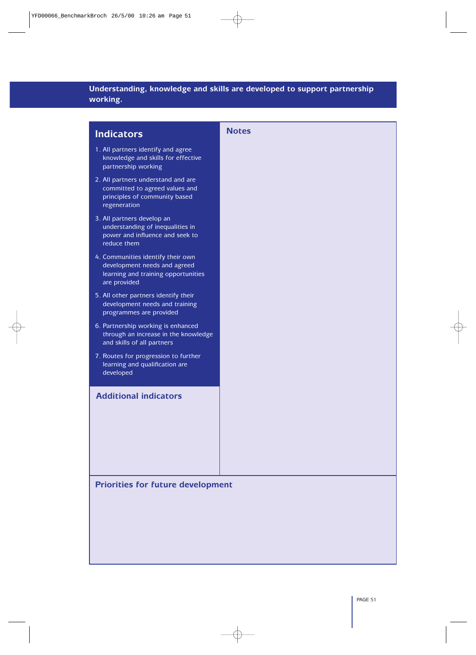### **Understanding, knowledge and skills are developed to support partnership working.**

| <b>Indicators</b>                                                                                                        | <b>Notes</b> |
|--------------------------------------------------------------------------------------------------------------------------|--------------|
| 1. All partners identify and agree<br>knowledge and skills for effective<br>partnership working                          |              |
| 2. All partners understand and are<br>committed to agreed values and<br>principles of community based<br>regeneration    |              |
| 3. All partners develop an<br>understanding of inequalities in<br>power and influence and seek to<br>reduce them         |              |
| 4. Communities identify their own<br>development needs and agreed<br>learning and training opportunities<br>are provided |              |
| 5. All other partners identify their<br>development needs and training<br>programmes are provided                        |              |
| 6. Partnership working is enhanced<br>through an increase in the knowledge<br>and skills of all partners                 |              |
| 7. Routes for progression to further<br>learning and qualification are<br>developed                                      |              |
| <b>Additional indicators</b>                                                                                             |              |
|                                                                                                                          |              |
|                                                                                                                          |              |
|                                                                                                                          |              |
| <b>Priorities for future development</b>                                                                                 |              |
|                                                                                                                          |              |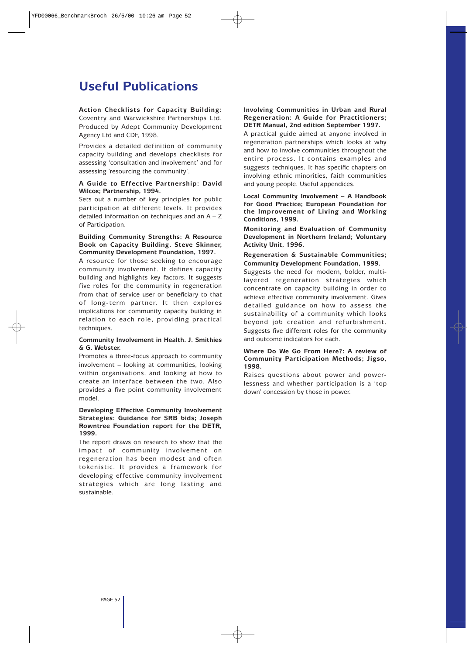### **Useful Publications**

#### **Action Checklists for Capacity Building:** Coventry and Warwickshire Partnerships Ltd. Produced by Adept Community Development Agency Ltd and CDF, 1998.

Provides a detailed definition of community capacity building and develops checklists for assessing 'consultation and involvement' and for assessing 'resourcing the community'.

#### **A Guide to Effective Partnership: David Wilcox; Partnership, 1994.**

Sets out a number of key principles for public participation at different levels. It provides detailed information on techniques and an A – Z of Participation.

#### **Building Community Strengths: A Resource Book on Capacity Building. Steve Skinner, Community Development Foundation, 1997.**

A resource for those seeking to encourage community involvement. It defines capacity building and highlights key factors. It suggests five roles for the community in regeneration from that of service user or beneficiary to that of long-term partner. It then explores implications for community capacity building in relation to each role, providing practical techniques.

#### **Community Involvement in Health. J. Smithies & G. Webster.**

Promotes a three-focus approach to community involvement – looking at communities, looking within organisations, and looking at how to create an interface between the two. Also provides a five point community involvement model.

#### **Developing Effective Community Involvement Strategies: Guidance for SRB bids; Joseph Rowntree Foundation report for the DETR, 1999.**

The report draws on research to show that the impact of community involvement on regeneration has been modest and often tokenistic. It provides a framework for developing effective community involvement strategies which are long lasting and sustainable.

#### **Involving Communities in Urban and Rural Regeneration: A Guide for Practitioners; DETR Manual, 2nd edition September 1997.**

A practical guide aimed at anyone involved in regeneration partnerships which looks at why and how to involve communities throughout the entire process. It contains examples and suggests techniques. It has specific chapters on involving ethnic minorities, faith communities and young people. Useful appendices.

**Local Community Involvement – A Handbook for Good Practice; European Foundation for the Improvement of Living and Working Conditions, 1999.**

**Monitoring and Evaluation of Community Development in Northern Ireland; Voluntary Activity Unit, 1996.**

#### **Regeneration & Sustainable Communities; Community Development Foundation, 1999.**

Suggests the need for modern, bolder, multilayered regeneration strategies which concentrate on capacity building in order to achieve effective community involvement. Gives detailed guidance on how to assess the sustainability of a community which looks beyond job creation and refurbishment. Suggests five different roles for the community and outcome indicators for each.

#### **Where Do We Go From Here?: A review of Community Participation Methods; Jigso, 1998.**

Raises questions about power and powerlessness and whether participation is a 'top down' concession by those in power.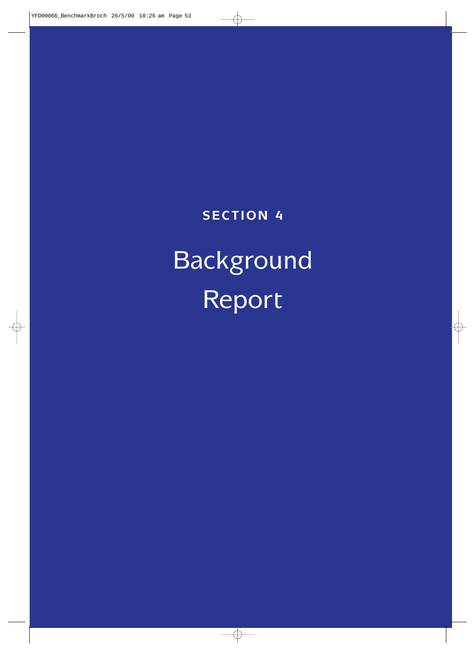### **SECTION 4**

# Background Report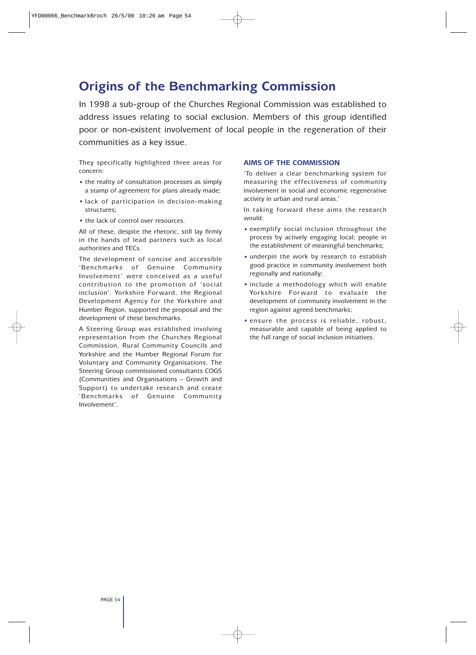### **Origins of the Benchmarking Commission**

In 1998 a sub-group of the Churches Regional Commission was established to address issues relating to social exclusion. Members of this group identified poor or non-existent involvement of local people in the regeneration of their communities as a key issue.

They specifically highlighted three areas for concern:

- the reality of consultation processes as simply a stamp of agreement for plans already made;
- lack of participation in decision-making structures;
- the lack of control over resources.

All of these, despite the rhetoric, still lay firmly in the hands of lead partners such as local authorities and TECs.

The development of concise and accessible 'Benchmarks of Genuine Community Involvement' were conceived as a useful contribution to the promotion of 'social inclusion'. Yorkshire Forward, the Regional Development Agency for the Yorkshire and Humber Region, supported the proposal and the development of these benchmarks.

A Steering Group was established involving representation from the Churches Regional Commission, Rural Community Councils and Yorkshire and the Humber Regional Forum for Voluntary and Community Organisations. The Steering Group commissioned consultants COGS (Communities and Organisations – Growth and Support) to undertake research and create 'Benchmarks of Genuine Community Involvement'.

#### **AIMS OF THE COMMISSION**

'To deliver a clear benchmarking system for measuring the effectiveness of community involvement in social and economic regenerative activity in urban and rural areas.'

In taking forward these aims the research would:

- exemplify social inclusion throughout the process by actively engaging local; people in the establishment of meaningful benchmarks;
- underpin the work by research to establish good practice in community involvement both regionally and nationally;
- include a methodology which will enable Yorkshire Forward to evaluate the development of community involvement in the region against agreed benchmarks;
- ensure the process is reliable, robust, measurable and capable of being applied to the full range of social inclusion initiatives.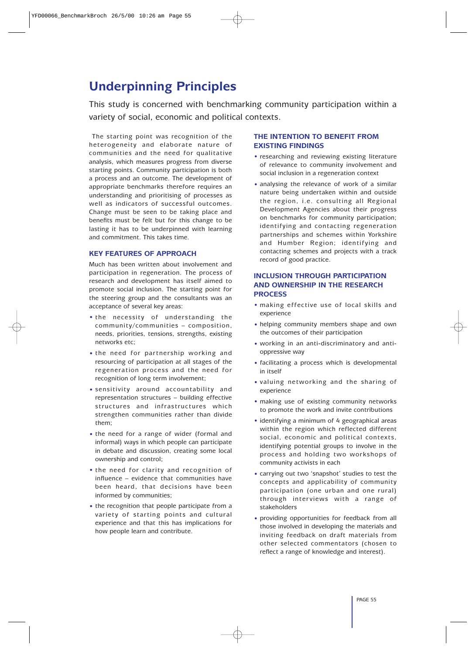### **Underpinning Principles**

This study is concerned with benchmarking community participation within a variety of social, economic and political contexts.

The starting point was recognition of the heterogeneity and elaborate nature of communities and the need for qualitative analysis, which measures progress from diverse starting points. Community participation is both a process and an outcome. The development of appropriate benchmarks therefore requires an understanding and prioritising of processes as well as indicators of successful outcomes. Change must be seen to be taking place and benefits must be felt but for this change to be lasting it has to be underpinned with learning and commitment. This takes time.

#### **KEY FEATURES OF APPROACH**

Much has been written about involvement and participation in regeneration. The process of research and development has itself aimed to promote social inclusion. The starting point for the steering group and the consultants was an acceptance of several key areas:

- the necessity of understanding the community/communities – composition, needs, priorities, tensions, strengths, existing networks etc;
- the need for partnership working and resourcing of participation at all stages of the regeneration process and the need for recognition of long term involvement;
- sensitivity around accountability and representation structures – building effective structures and infrastructures which strengthen communities rather than divide them;
- the need for a range of wider (formal and informal) ways in which people can participate in debate and discussion, creating some local ownership and control;
- the need for clarity and recognition of influence – evidence that communities have been heard, that decisions have been informed by communities;
- the recognition that people participate from a variety of starting points and cultural experience and that this has implications for how people learn and contribute.

#### **THE INTENTION TO BENEFIT FROM EXISTING FINDINGS**

- researching and reviewing existing literature of relevance to community involvement and social inclusion in a regeneration context
- analysing the relevance of work of a similar nature being undertaken within and outside the region, i.e. consulting all Regional Development Agencies about their progress on benchmarks for community participation; identifying and contacting regeneration partnerships and schemes within Yorkshire and Humber Region; identifying and contacting schemes and projects with a track record of good practice.

#### **INCLUSION THROUGH PARTICIPATION AND OWNERSHIP IN THE RESEARCH PROCESS**

- making effective use of local skills and experience
- helping community members shape and own the outcomes of their participation
- working in an anti-discriminatory and antioppressive way
- facilitating a process which is developmental in itself
- valuing networking and the sharing of experience
- making use of existing community networks to promote the work and invite contributions
- identifying a minimum of 4 geographical areas within the region which reflected different social, economic and political contexts, identifying potential groups to involve in the process and holding two workshops of community activists in each
- carrying out two 'snapshot' studies to test the concepts and applicability of community participation (one urban and one rural) through interviews with a range of stakeholders
- providing opportunities for feedback from all those involved in developing the materials and inviting feedback on draft materials from other selected commentators (chosen to reflect a range of knowledge and interest).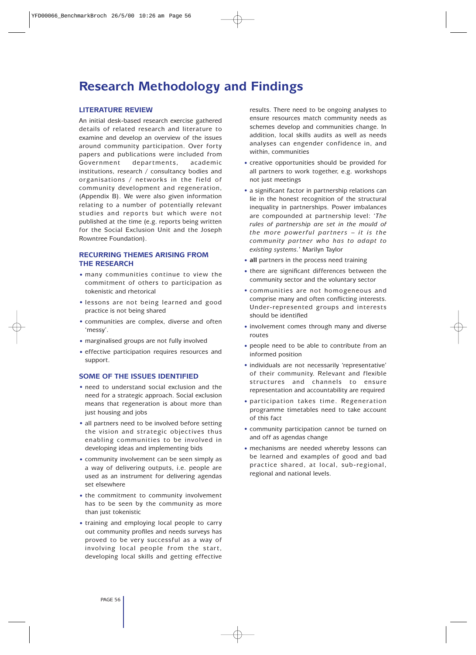### **Research Methodology and Findings**

#### **LITERATURE REVIEW**

An initial desk-based research exercise gathered details of related research and literature to examine and develop an overview of the issues around community participation. Over forty papers and publications were included from Government departments, academic institutions, research / consultancy bodies and organisations / networks in the field of community development and regeneration, (Appendix B). We were also given information relating to a number of potentially relevant studies and reports but which were not published at the time (e.g. reports being written for the Social Exclusion Unit and the Joseph Rowntree Foundation).

#### **RECURRING THEMES ARISING FROM THE RESEARCH**

- many communities continue to view the commitment of others to participation as tokenistic and rhetorical
- lessons are not being learned and good practice is not being shared
- communities are complex, diverse and often 'messy'.
- marginalised groups are not fully involved
- effective participation requires resources and support.

#### **SOME OF THE ISSUES IDENTIFIED**

- need to understand social exclusion and the need for a strategic approach. Social exclusion means that regeneration is about more than just housing and jobs
- all partners need to be involved before setting the vision and strategic objectives thus enabling communities to be involved in developing ideas and implementing bids
- community involvement can be seen simply as a way of delivering outputs, i.e. people are used as an instrument for delivering agendas set elsewhere
- the commitment to community involvement has to be seen by the community as more than just tokenistic
- training and employing local people to carry out community profiles and needs surveys has proved to be very successful as a way of involving local people from the start, developing local skills and getting effective

results. There need to be ongoing analyses to ensure resources match community needs as schemes develop and communities change. In addition, local skills audits as well as needs analyses can engender confidence in, and within, communities

- creative opportunities should be provided for all partners to work together, e.g. workshops not just meetings
- a significant factor in partnership relations can lie in the honest recognition of the structural inequality in partnerships. Power imbalances are compounded at partnership level: '*The rules of partnership are set in the mould of the more powerful partners – it is the community partner who has to adapt to existing systems.*' Marilyn Taylor
- **all** partners in the process need training
- there are significant differences between the community sector and the voluntary sector
- communities are not homogeneous and comprise many and often conflicting interests. Under-represented groups and interests should be identified
- involvement comes through many and diverse routes
- people need to be able to contribute from an informed position
- individuals are not necessarily 'representative' of their community. Relevant and flexible structures and channels to ensure representation and accountability are required
- participation takes time. Regeneration programme timetables need to take account of this fact
- community participation cannot be turned on and off as agendas change
- mechanisms are needed whereby lessons can be learned and examples of good and bad practice shared, at local, sub-regional, regional and national levels.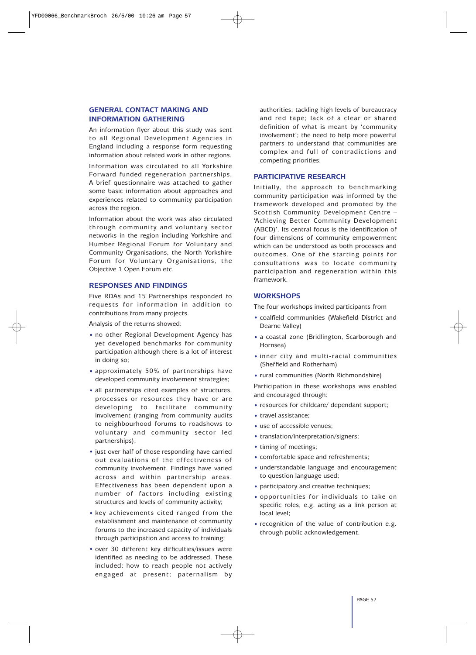#### **GENERAL CONTACT MAKING AND INFORMATION GATHERING**

An information flyer about this study was sent to all Regional Development Agencies in England including a response form requesting information about related work in other regions.

Information was circulated to all Yorkshire Forward funded regeneration partnerships. A brief questionnaire was attached to gather some basic information about approaches and experiences related to community participation across the region.

Information about the work was also circulated through community and voluntary sector networks in the region including Yorkshire and Humber Regional Forum for Voluntary and Community Organisations, the North Yorkshire Forum for Voluntary Organisations, the Objective 1 Open Forum etc.

#### **RESPONSES AND FINDINGS**

Five RDAs and 15 Partnerships responded to requests for information in addition to contributions from many projects.

Analysis of the returns showed:

- no other Regional Development Agency has yet developed benchmarks for community participation although there is a lot of interest in doing so;
- approximately 50% of partnerships have developed community involvement strategies;
- all partnerships cited examples of structures, processes or resources they have or are developing to facilitate community involvement (ranging from community audits to neighbourhood forums to roadshows to voluntary and community sector led partnerships);
- just over half of those responding have carried out evaluations of the effectiveness of community involvement. Findings have varied across and within partnership areas. Effectiveness has been dependent upon a number of factors including existing structures and levels of community activity;
- key achievements cited ranged from the establishment and maintenance of community forums to the increased capacity of individuals through participation and access to training;
- over 30 different key difficulties/issues were identified as needing to be addressed. These included: how to reach people not actively engaged at present; paternalism by

authorities; tackling high levels of bureaucracy and red tape; lack of a clear or shared definition of what is meant by 'community involvement'; the need to help more powerful partners to understand that communities are complex and full of contradictions and competing priorities.

#### **PARTICIPATIVE RESEARCH**

Initially, the approach to benchmarking community participation was informed by the framework developed and promoted by the Scottish Community Development Centre – 'Achieving Better Community Development (ABCD)'. Its central focus is the identification of four dimensions of community empowerment which can be understood as both processes and outcomes. One of the starting points for consultations was to locate community participation and regeneration within this framework.

#### **WORKSHOPS**

The four workshops invited participants from

- coalfield communities (Wakefield District and Dearne Valley)
- a coastal zone (Bridlington, Scarborough and Hornsea)
- inner city and multi-racial communities (Sheffield and Rotherham)
- rural communities (North Richmondshire)

Participation in these workshops was enabled and encouraged through:

- resources for childcare/ dependant support;
- travel assistance;
- use of accessible venues;
- translation/interpretation/signers;
- timing of meetings;
- comfortable space and refreshments;
- understandable language and encouragement to question language used;
- participatory and creative techniques;
- opportunities for individuals to take on specific roles, e.g. acting as a link person at local level;
- recognition of the value of contribution e.g. through public acknowledgement.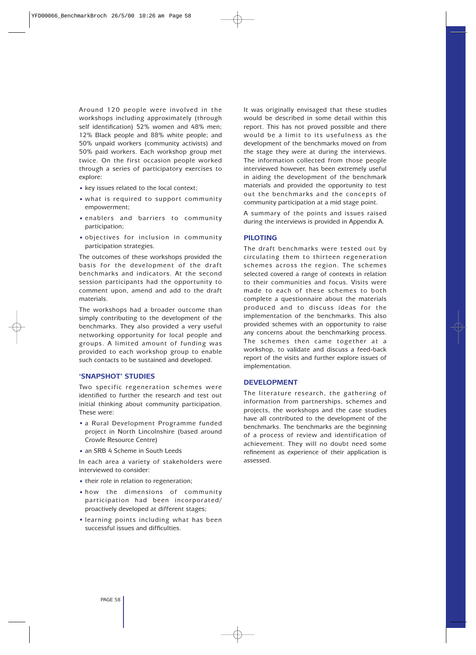Around 120 people were involved in the workshops including approximately (through self identification) 52% women and 48% men; 12% Black people and 88% white people; and 50% unpaid workers (community activists) and 50% paid workers. Each workshop group met twice. On the first occasion people worked through a series of participatory exercises to explore:

- key issues related to the local context;
- what is required to support community empowerment;
- enablers and barriers to community participation;
- objectives for inclusion in community participation strategies.

The outcomes of these workshops provided the basis for the development of the draft benchmarks and indicators. At the second session participants had the opportunity to comment upon, amend and add to the draft materials.

The workshops had a broader outcome than simply contributing to the development of the benchmarks. They also provided a very useful networking opportunity for local people and groups. A limited amount of funding was provided to each workshop group to enable such contacts to be sustained and developed.

#### **'SNAPSHOT' STUDIES**

Two specific regeneration schemes were identified to further the research and test out initial thinking about community participation. These were:

- a Rural Development Programme funded project in North Lincolnshire (based around Crowle Resource Centre)
- an SRB 4 Scheme in South Leeds

In each area a variety of stakeholders were interviewed to consider:

- their role in relation to regeneration;
- how the dimensions of community participation had been incorporated/ proactively developed at different stages;
- learning points including what has been successful issues and difficulties.

It was originally envisaged that these studies would be described in some detail within this report. This has not proved possible and there would be a limit to its usefulness as the development of the benchmarks moved on from the stage they were at during the interviews. The information collected from those people interviewed however, has been extremely useful in aiding the development of the benchmark materials and provided the opportunity to test out the benchmarks and the concepts of community participation at a mid stage point.

A summary of the points and issues raised during the interviews is provided in Appendix A.

#### **PILOTING**

The draft benchmarks were tested out by circulating them to thirteen regeneration schemes across the region. The schemes selected covered a range of contexts in relation to their communities and focus. Visits were made to each of these schemes to both complete a questionnaire about the materials produced and to discuss ideas for the implementation of the benchmarks. This also provided schemes with an opportunity to raise any concerns about the benchmarking process. The schemes then came together at a workshop, to validate and discuss a feed-back report of the visits and further explore issues of implementation.

#### **DEVELOPMENT**

The literature research, the gathering of information from partnerships, schemes and projects, the workshops and the case studies have all contributed to the development of the benchmarks. The benchmarks are the beginning of a process of review and identification of achievement. They will no doubt need some refinement as experience of their application is assessed.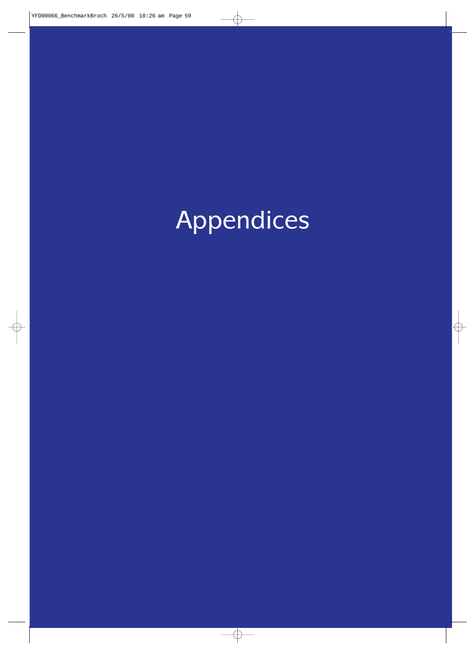Appendices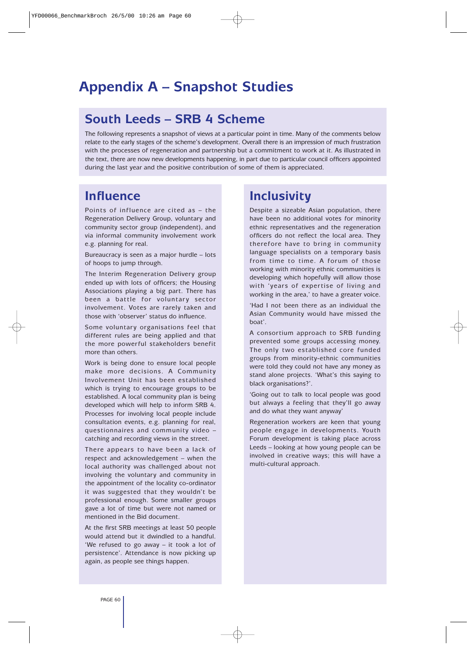### **Appendix A – Snapshot Studies**

### **South Leeds – SRB 4 Scheme**

The following represents a snapshot of views at a particular point in time. Many of the comments below relate to the early stages of the scheme's development. Overall there is an impression of much frustration with the processes of regeneration and partnership but a commitment to work at it. As illustrated in the text, there are now new developments happening, in part due to particular council officers appointed during the last year and the positive contribution of some of them is appreciated.

### **Influence**

Points of influence are cited as – the Regeneration Delivery Group, voluntary and community sector group (independent), and via informal community involvement work e.g. planning for real.

Bureaucracy is seen as a major hurdle – lots of hoops to jump through.

The Interim Regeneration Delivery group ended up with lots of officers; the Housing Associations playing a big part. There has been a battle for voluntary sector involvement. Votes are rarely taken and those with 'observer' status do influence.

Some voluntary organisations feel that different rules are being applied and that the more powerful stakeholders benefit more than others.

Work is being done to ensure local people make more decisions. A Community Involvement Unit has been established which is trying to encourage groups to be established. A local community plan is being developed which will help to inform SRB 4. Processes for involving local people include consultation events, e.g. planning for real, questionnaires and community video – catching and recording views in the street.

There appears to have been a lack of respect and acknowledgement – when the local authority was challenged about not involving the voluntary and community in the appointment of the locality co-ordinator it was suggested that they wouldn't be professional enough. Some smaller groups gave a lot of time but were not named or mentioned in the Bid document.

At the first SRB meetings at least 50 people would attend but it dwindled to a handful. 'We refused to go away – it took a lot of persistence'. Attendance is now picking up again, as people see things happen.

### **Inclusivity**

Despite a sizeable Asian population, there have been no additional votes for minority ethnic representatives and the regeneration officers do not reflect the local area. They therefore have to bring in community language specialists on a temporary basis from time to time. A forum of those working with minority ethnic communities is developing which hopefully will allow those with 'years of expertise of living and working in the area,' to have a greater voice.

'Had I not been there as an individual the Asian Community would have missed the boat'.

A consortium approach to SRB funding prevented some groups accessing money. The only two established core funded groups from minority-ethnic communities were told they could not have any money as stand alone projects. 'What's this saying to black organisations?'.

'Going out to talk to local people was good but always a feeling that they'll go away and do what they want anyway'

Regeneration workers are keen that young people engage in developments. Youth Forum development is taking place across Leeds – looking at how young people can be involved in creative ways; this will have a multi-cultural approach.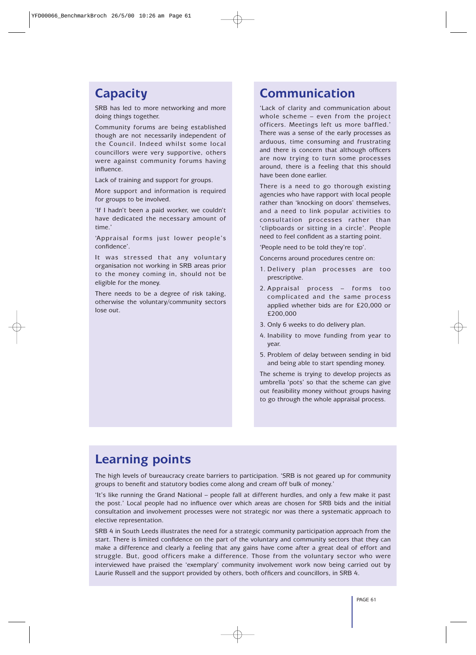### **Capacity**

SRB has led to more networking and more doing things together.

Community forums are being established though are not necessarily independent of the Council. Indeed whilst some local councillors were very supportive, others were against community forums having influence.

Lack of training and support for groups.

More support and information is required for groups to be involved.

'If I hadn't been a paid worker, we couldn't have dedicated the necessary amount of time.'

'Appraisal forms just lower people's confidence'.

It was stressed that any voluntary organisation not working in SRB areas prior to the money coming in, should not be eligible for the money.

There needs to be a degree of risk taking, otherwise the voluntary/community sectors lose out.

### **Communication**

'Lack of clarity and communication about whole scheme – even from the project officers. Meetings left us more baffled.' There was a sense of the early processes as arduous, time consuming and frustrating and there is concern that although officers are now trying to turn some processes around, there is a feeling that this should have been done earlier.

There is a need to go thorough existing agencies who have rapport with local people rather than 'knocking on doors' themselves, and a need to link popular activities to consultation processes rather than 'clipboards or sitting in a circle'. People need to feel confident as a starting point.

'People need to be told they're top'.

Concerns around procedures centre on:

- 1. Delivery plan processes are too prescriptive.
- 2. Appraisal process forms too complicated and the same process applied whether bids are for £20,000 or £200,000
- 3. Only 6 weeks to do delivery plan.
- 4. Inability to move funding from year to year.
- 5. Problem of delay between sending in bid and being able to start spending money.

The scheme is trying to develop projects as umbrella 'pots' so that the scheme can give out feasibility money without groups having to go through the whole appraisal process.

### **Learning points**

The high levels of bureaucracy create barriers to participation. 'SRB is not geared up for community groups to benefit and statutory bodies come along and cream off bulk of money.'

'It's like running the Grand National – people fall at different hurdles, and only a few make it past the post.' Local people had no influence over which areas are chosen for SRB bids and the initial consultation and involvement processes were not strategic nor was there a systematic approach to elective representation.

SRB 4 in South Leeds illustrates the need for a strategic community participation approach from the start. There is limited confidence on the part of the voluntary and community sectors that they can make a difference and clearly a feeling that any gains have come after a great deal of effort and struggle. But, good officers make a difference. Those from the voluntary sector who were interviewed have praised the 'exemplary' community involvement work now being carried out by Laurie Russell and the support provided by others, both officers and councillors, in SRB 4.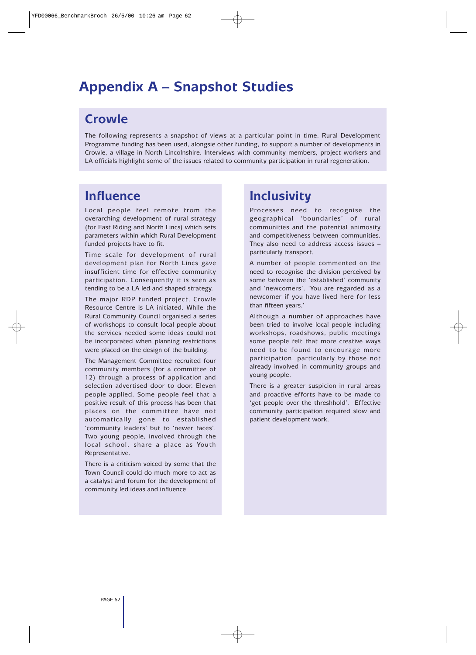### **Appendix A – Snapshot Studies**

### **Crowle**

The following represents a snapshot of views at a particular point in time. Rural Development Programme funding has been used, alongsie other funding, to support a number of developments in Crowle, a village in North Lincolnshire. Interviews with community members, project workers and LA officials highlight some of the issues related to community participation in rural regeneration.

### **Influence**

Local people feel remote from the overarching development of rural strategy (for East Riding and North Lincs) which sets parameters within which Rural Development funded projects have to fit.

Time scale for development of rural development plan for North Lincs gave insufficient time for effective community participation. Consequently it is seen as tending to be a LA led and shaped strategy.

The major RDP funded project, Crowle Resource Centre is LA initiated. While the Rural Community Council organised a series of workshops to consult local people about the services needed some ideas could not be incorporated when planning restrictions were placed on the design of the building.

The Management Committee recruited four community members (for a committee of 12) through a process of application and selection advertised door to door. Eleven people applied. Some people feel that a positive result of this process has been that places on the committee have not automatically gone to established 'community leaders' but to 'newer faces'. Two young people, involved through the local school, share a place as Youth Representative.

There is a criticism voiced by some that the Town Council could do much more to act as a catalyst and forum for the development of community led ideas and influence

### **Inclusivity**

Processes need to recognise the geographical 'boundaries' of rural communities and the potential animosity and competitiveness between communities. They also need to address access issues – particularly transport.

A number of people commented on the need to recognise the division perceived by some between the 'established' community and 'newcomers'. 'You are regarded as a newcomer if you have lived here for less than fifteen years.'

Although a number of approaches have been tried to involve local people including workshops, roadshows, public meetings some people felt that more creative ways need to be found to encourage more participation, particularly by those not already involved in community groups and young people.

There is a greater suspicion in rural areas and proactive efforts have to be made to 'get people over the threshhold'. Effective community participation required slow and patient development work.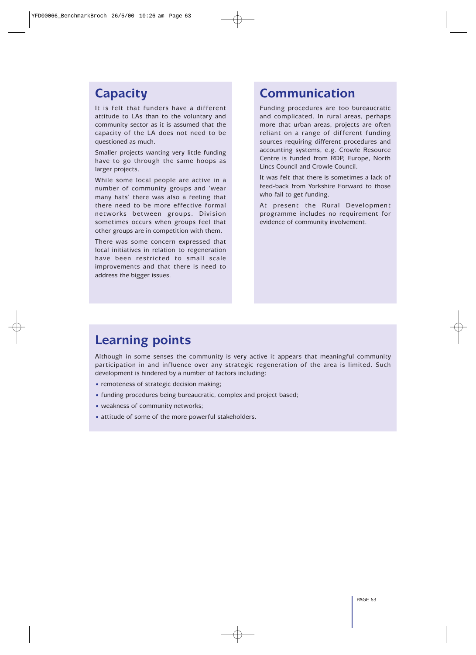### **Capacity**

It is felt that funders have a different attitude to LAs than to the voluntary and community sector as it is assumed that the capacity of the LA does not need to be questioned as much.

Smaller projects wanting very little funding have to go through the same hoops as larger projects.

While some local people are active in a number of community groups and 'wear many hats' there was also a feeling that there need to be more effective formal networks between groups. Division sometimes occurs when groups feel that other groups are in competition with them.

There was some concern expressed that local initiatives in relation to regeneration have been restricted to small scale improvements and that there is need to address the bigger issues.

### **Communication**

Funding procedures are too bureaucratic and complicated. In rural areas, perhaps more that urban areas, projects are often reliant on a range of different funding sources requiring different procedures and accounting systems, e.g. Crowle Resource Centre is funded from RDP, Europe, North Lincs Council and Crowle Council.

It was felt that there is sometimes a lack of feed-back from Yorkshire Forward to those who fail to get funding.

At present the Rural Development programme includes no requirement for evidence of community involvement.

### **Learning points**

Although in some senses the community is very active it appears that meaningful community participation in and influence over any strategic regeneration of the area is limited. Such development is hindered by a number of factors including:

- remoteness of strategic decision making;
- funding procedures being bureaucratic, complex and project based;
- weakness of community networks;
- attitude of some of the more powerful stakeholders.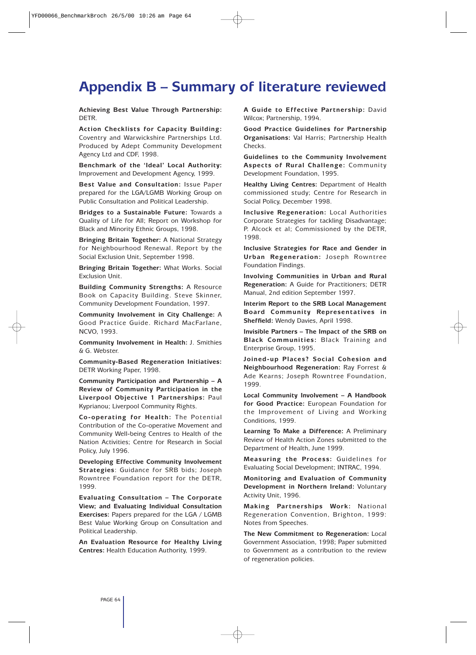### **Appendix B – Summary of literature reviewed**

**Achieving Best Value Through Partnership:** DETR.

**Action Checklists for Capacity Building:** Coventry and Warwickshire Partnerships Ltd. Produced by Adept Community Development Agency Ltd and CDF, 1998.

**Benchmark of the 'Ideal' Local Authority:** Improvement and Development Agency, 1999.

**Best Value and Consultation:** Issue Paper prepared for the LGA/LGMB Working Group on Public Consultation and Political Leadership.

**Bridges to a Sustainable Future:** Towards a Quality of Life for All; Report on Workshop for Black and Minority Ethnic Groups, 1998.

**Bringing Britain Together:** A National Strategy for Neighbourhood Renewal. Report by the Social Exclusion Unit, September 1998.

**Bringing Britain Together:** What Works. Social Exclusion Unit.

**Building Community Strengths:** A Resource Book on Capacity Building. Steve Skinner, Community Development Foundation, 1997.

**Community Involvement in City Challenge:** A Good Practice Guide. Richard MacFarlane, NCVO, 1993.

**Community Involvement in Health:** J. Smithies & G. Webster.

**Community-Based Regeneration Initiatives:** DETR Working Paper, 1998.

**Community Participation and Partnership – A Review of Community Participation in the Liverpool Objective 1 Partnerships:** Paul Kyprianou; Liverpool Community Rights.

**Co-operating for Health:** The Potential Contribution of the Co-operative Movement and Community Well-being Centres to Health of the Nation Activities; Centre for Research in Social Policy, July 1996.

**Developing Effective Community Involvement Strategies**: Guidance for SRB bids; Joseph Rowntree Foundation report for the DETR, 1999.

**Evaluating Consultation – The Corporate View; and Evaluating Individual Consultation Exercises:** Papers prepared for the LGA / LGMB Best Value Working Group on Consultation and Political Leadership.

**An Evaluation Resource for Healthy Living Centres:** Health Education Authority, 1999.

**A Guide to Effective Partnership:** David Wilcox; Partnership, 1994.

**Good Practice Guidelines for Partnership Organisations:** Val Harris; Partnership Health Checks.

**Guidelines to the Community Involvement Aspects of Rural Challenge:** Community Development Foundation, 1995.

**Healthy Living Centres:** Department of Health commissioned study; Centre for Research in Social Policy, December 1998.

**Inclusive Regeneration:** Local Authorities Corporate Strategies for tackling Disadvantage; P. Alcock et al; Commissioned by the DETR, 1998.

**Inclusive Strategies for Race and Gender in Urban Regeneration:** Joseph Rowntree Foundation Findings.

**Involving Communities in Urban and Rural Regeneration:** A Guide for Practitioners; DETR Manual, 2nd edition September 1997.

**Interim Report to the SRB Local Management Board Community Representatives in Sheffield:** Wendy Davies, April 1998.

**Invisible Partners – The Impact of the SRB on Black Communities:** Black Training and Enterprise Group, 1995.

**Joined-up Places? Social Cohesion and Neighbourhood Regeneration:** Ray Forrest & Ade Kearns; Joseph Rowntree Foundation, 1999.

**Local Community Involvement – A Handbook for Good Practice:** European Foundation for the Improvement of Living and Working Conditions, 1999.

**Learning To Make a Difference:** A Preliminary Review of Health Action Zones submitted to the Department of Health, June 1999.

**Measuring the Process:** Guidelines for Evaluating Social Development; INTRAC, 1994.

**Monitoring and Evaluation of Community Development in Northern Ireland:** Voluntary Activity Unit, 1996.

**Making Partnerships Work:** National Regeneration Convention, Brighton, 1999: Notes from Speeches.

**The New Commitment to Regeneration:** Local Government Association, 1998; Paper submitted to Government as a contribution to the review of regeneration policies.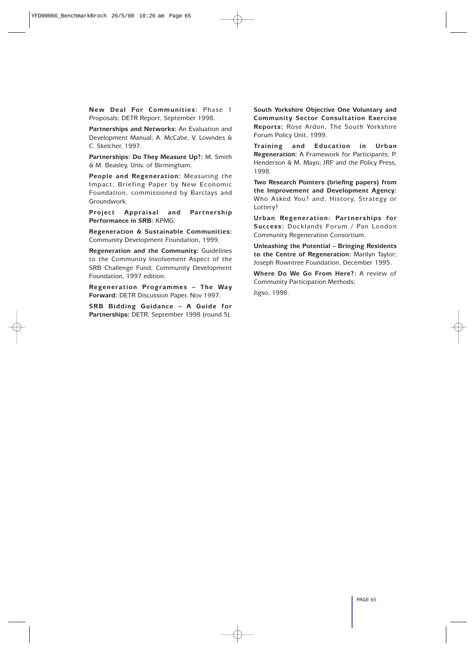**New Deal For Communities:** Phase 1 Proposals; DETR Report, September 1998.

**Partnerships and Networks:** An Evaluation and Development Manual; A. McCabe, V. Lowndes & C. Skelcher, 1997.

**Partnerships: Do They Measure Up?:** M. Smith & M. Beasley, Univ. of Birmingham.

**People and Regeneration:** Measuring the Impact; Briefing Paper by New Economic Foundation, commissioned by Barclays and Groundwork.

**Project Appraisal and Partnership Performance in SRB:** KPMG.

**Regeneration & Sustainable Communities:** Community Development Foundation, 1999.

**Regeneration and the Community:** Guidelines to the Community Involvement Aspect of the SRB Challenge Fund; Community Development Foundation, 1997 edition.

**Regeneration Programmes – The Way Forward:** DETR Discussion Paper, Nov 1997.

**SRB Bidding Guidance – A Guide for Partnerships:** DETR, September 1998 (round 5).

**South Yorkshire Objective One Voluntary and Community Sector Consultation Exercise Reports:** Rose Ardon, The South Yorkshire Forum Policy Unit, 1999.

**Training and Education in Urban Regeneration:** A Framework for Participants; P. Henderson & M. Mayo; JRF and the Policy Press, 1998.

**Two Research Pointers (briefing papers) from the Improvement and Development Agency:** Who Asked You? and, History, Strategy or Lottery?

**Urban Regeneration: Partnerships for Success:** Docklands Forum / Pan London Community Regeneration Consortium.

**Unleashing the Potential – Bringing Residents to the Centre of Regeneration:** Marilyn Taylor; Joseph Rowntree Foundation, December 1995.

**Where Do We Go From Here?:** A review of Community Participation Methods;

Jigso, 1998.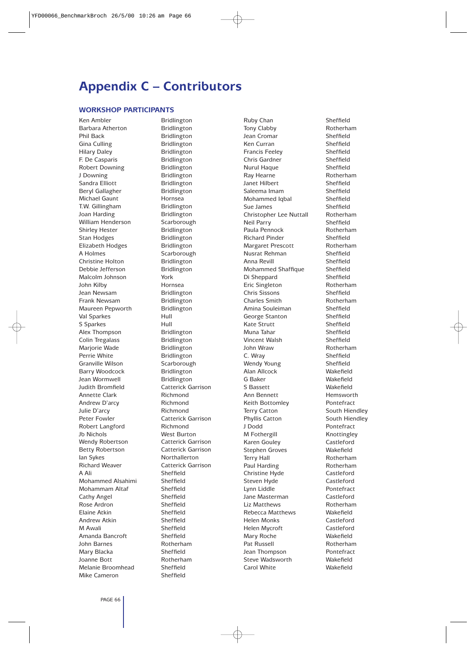### **Appendix C – Contributors**

#### **WORKSHOP PARTICIPANTS**

Ken Ambler Bridlington Barbara Atherton Bridlington Phil Back Bridlington Gina Culling **Bridlington** Hilary Daley **Bridlington** F. De Casparis Bridlington Robert Downing Bridlington J Downing Bridlington Sandra Elliott Bridlington Beryl Gallagher Bridlington Michael Gaunt **Hornsea** T.W. Gillingham Bridlington Joan Harding **Bridlington** William Henderson Scarborough Shirley Hester Bridlington Stan Hodges Bridlington Elizabeth Hodges Bridlington A Holmes Scarborough Christine Holton Bridlington Debbie Jefferson Bridlington Malcolm Johnson York John Kilby Hornsea Jean Newsam Bridlington Frank Newsam Bridlington Maureen Pepworth Bridlington Val Sparkes Hull S Sparkes Hull Alex Thompson Bridlington Colin Tregalass Bridlington Marjorie Wade Bridlington Perrie White **Bridlington** Granville Wilson Scarborough Barry Woodcock Bridlington Jean Wormwell Bridlington Judith Bromfield Catterick Garrison Annette Clark Richmond Andrew D'arcy Richmond Julie D'arcy Richmond Peter Fowler **Catterick Garrison** Robert Langford Richmond Jb Nichols West Burton Wendy Robertson **Catterick Garrison** Betty Robertson Catterick Garrison Ian Sykes Northallerton Richard Weaver **Catterick Garrison** A Ali Sheffield Mohammed Alsahimi Sheffield Mohammam Altaf Sheffield Cathy Angel Sheffield<br>
Rose Ardron Sheffield Rose Ardron Elaine Atkin Sheffield Andrew Atkin Sheffield M Awali Sheffield Amanda Bancroft Sheffield John Barnes Rotherham Mary Blacka Sheffield Joanne Bott Rotherham Melanie Broomhead Sheffield Mike Cameron Sheffield

Ruby Chan Sheffield Tony Clabby Rotherham Jean Cromar Sheffield Ken Curran Sheffield Francis Feeley Sheffield Chris Gardner Sheffield Nurul Haque Sheffield Ray Hearne Rotherham Janet Hilbert Sheffield Saleema Imam Sheffield Mohammed Iqbal Sheffield Sue James Sheffield Christopher Lee Nuttall Rotherham Neil Parry Sheffield Paula Pennock Rotherham Richard Pinder Sheffield Margaret Prescott Rotherham Nusrat Rehman Sheffield Anna Revill Sheffield Mohammed Shaffique Sheffield Di Sheppard Sheffield Eric Singleton Rotherham Chris Sissons Sheffield Charles Smith Rotherham Amina Souleiman Sheffield George Stanton Sheffield Kate Strutt Sheffield Muna Tahar Sheffield Vincent Walsh Sheffield John Wraw Rotherham C. Wray Sheffield Wendy Young Sheffield Alan Allcock Wakefield G Baker Wakefield S Bassett Wakefield Ann Bennett Hemsworth Keith Bottomley **Pontefract** Terry Catton South Hiendley Phyllis Catton South Hiendley J Dodd Pontefract M Fothergill Knottingley Karen Gouley Castleford Stephen Groves Wakefield Terry Hall **Rotherham** Paul Harding Rotherham Christine Hyde Castleford Steven Hyde Castleford Lynn Liddle **Pontefract** Jane Masterman Castleford Liz Matthews Rotherham Rebecca Matthews Wakefield Helen Monks Castleford Helen Mycroft Castleford Mary Roche Wakefield Pat Russell **Rotherham** Jean Thompson Pontefract Steve Wadsworth Wakefield Carol White Wakefield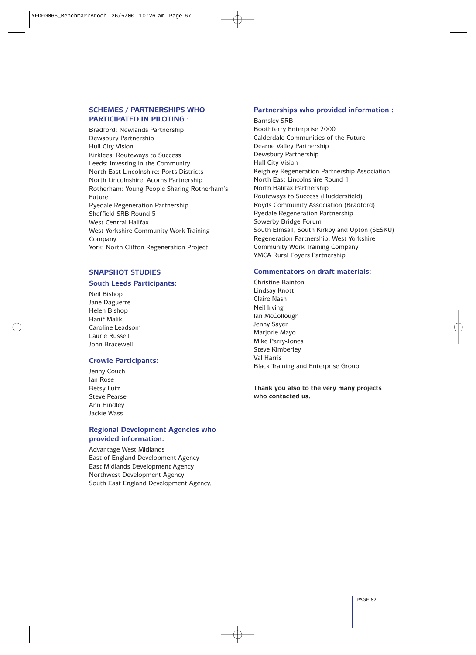#### **SCHEMES / PARTNERSHIPS WHO PARTICIPATED IN PILOTING :**

Bradford: Newlands Partnership Dewsbury Partnership Hull City Vision Kirklees: Routeways to Success Leeds: Investing in the Community North East Lincolnshire: Ports Districts North Lincolnshire: Acorns Partnership Rotherham: Young People Sharing Rotherham's Future Ryedale Regeneration Partnership Sheffield SRB Round 5 West Central Halifax West Yorkshire Community Work Training Company York: North Clifton Regeneration Project

#### **SNAPSHOT STUDIES**

#### **South Leeds Participants:**

Neil Bishop Jane Daguerre Helen Bishop Hanif Malik Caroline Leadsom Laurie Russell John Bracewell

#### **Crowle Participants:**

Jenny Couch Ian Rose Betsy Lutz Steve Pearse Ann Hindley Jackie Wass

#### **Regional Development Agencies who provided information:**

Advantage West Midlands East of England Development Agency East Midlands Development Agency Northwest Development Agency South East England Development Agency.

#### **Partnerships who provided information :**

Barnsley SRB Boothferry Enterprise 2000 Calderdale Communities of the Future Dearne Valley Partnership Dewsbury Partnership Hull City Vision Keighley Regeneration Partnership Association North East Lincolnshire Round 1 North Halifax Partnership Routeways to Success (Huddersfield) Royds Community Association (Bradford) Ryedale Regeneration Partnership Sowerby Bridge Forum South Elmsall, South Kirkby and Upton (SESKU) Regeneration Partnership, West Yorkshire Community Work Training Company YMCA Rural Foyers Partnership

#### **Commentators on draft materials:**

Christine Bainton Lindsay Knott Claire Nash Neil Irving Ian McCollough Jenny Sayer Marjorie Mayo Mike Parry-Jones Steve Kimberley Val Harris Black Training and Enterprise Group

**Thank you also to the very many projects who contacted us.**